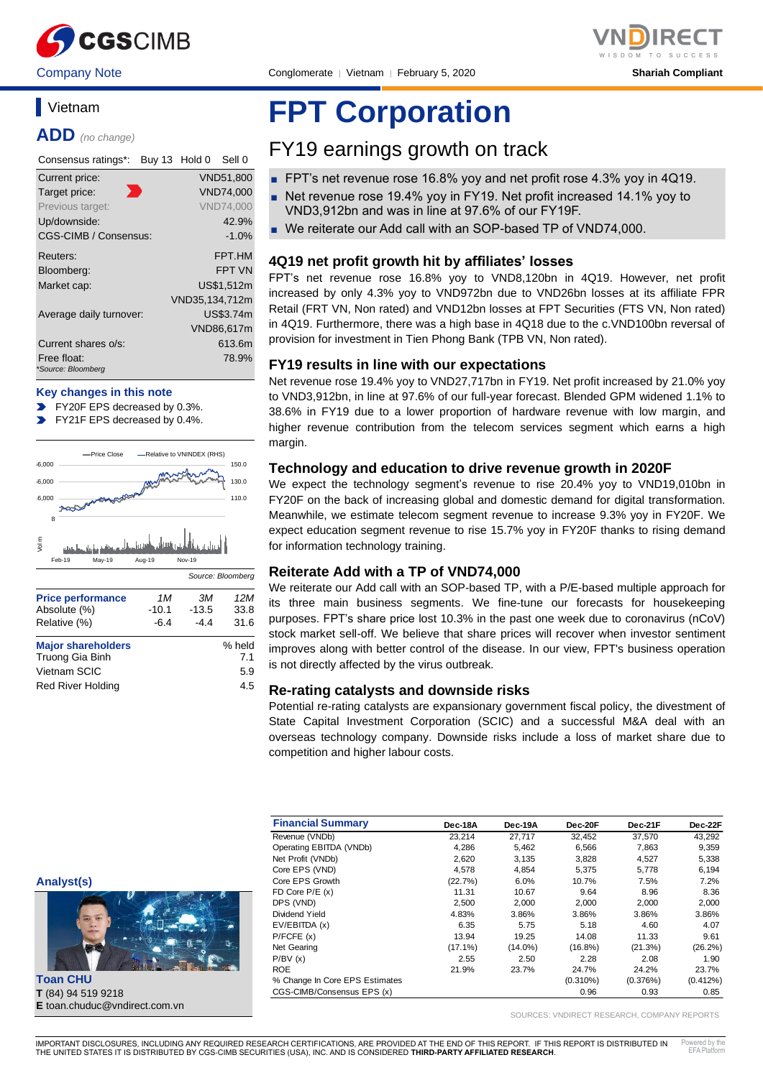

## **Vietnam**

**ADD** *(no change)*

| Consensus ratings*:               | Buy 13 Hold 0<br>Sell 0 |
|-----------------------------------|-------------------------|
| Current price:                    | <b>VND51,800</b>        |
| Target price:                     | <b>VND74.000</b>        |
| Previous target:                  | <b>VND74.000</b>        |
| Up/downside:                      | 42.9%                   |
| CGS-CIMB / Consensus:             | $-1.0%$                 |
| Reuters:                          | FPT.HM                  |
| Bloomberg:                        | <b>FPT VN</b>           |
| Market cap:                       | US\$1,512m              |
|                                   | VND35,134,712m          |
| Average daily turnover:           | US\$3.74m               |
|                                   | VND86,617m              |
| Current shares o/s:               | 613.6m                  |
| Free float:<br>*Source: Bloomberg | 78.9%                   |

#### **Key changes in this note**

- FY20F EPS decreased by 0.3%.
- FY21F EPS decreased by 0.4%.



| <b>Major shareholders</b><br>Truong Gia Binh | % held<br>7.1 |
|----------------------------------------------|---------------|
| Vietnam SCIC                                 | 5.9           |
| <b>Red River Holding</b>                     | 4.5           |

# **FPT Corporation**

# FY19 earnings growth on track

- FPT's net revenue rose 16.8% yoy and net profit rose 4.3% yoy in 4Q19.
- Net revenue rose 19.4% yoy in FY19. Net profit increased 14.1% yoy to VND3,912bn and was in line at 97.6% of our FY19F.
- We reiterate our Add call with an SOP-based TP of VND74,000.

#### **4Q19 net profit growth hit by affiliates' losses**

FPT's net revenue rose 16.8% yoy to VND8,120bn in 4Q19. However, net profit increased by only 4.3% yoy to VND972bn due to VND26bn losses at its affiliate FPR Retail (FRT VN, Non rated) and VND12bn losses at FPT Securities (FTS VN, Non rated) in 4Q19. Furthermore, there was a high base in 4Q18 due to the c.VND100bn reversal of provision for investment in Tien Phong Bank (TPB VN, Non rated).

#### **FY19 results in line with our expectations**

Net revenue rose 19.4% yoy to VND27,717bn in FY19. Net profit increased by 21.0% yoy to VND3,912bn, in line at 97.6% of our full-year forecast. Blended GPM widened 1.1% to 38.6% in FY19 due to a lower proportion of hardware revenue with low margin, and higher revenue contribution from the telecom services segment which earns a high margin.

#### **Technology and education to drive revenue growth in 2020F**

We expect the technology segment's revenue to rise 20.4% yoy to VND19,010bn in FY20F on the back of increasing global and domestic demand for digital transformation. Meanwhile, we estimate telecom segment revenue to increase 9.3% yoy in FY20F. We expect education segment revenue to rise 15.7% yoy in FY20F thanks to rising demand for information technology training.

#### **Reiterate Add with a TP of VND74,000**

We reiterate our Add call with an SOP-based TP, with a P/E-based multiple approach for its three main business segments. We fine-tune our forecasts for housekeeping purposes. FPT's share price lost 10.3% in the past one week due to coronavirus (nCoV) stock market sell-off. We believe that share prices will recover when investor sentiment improves along with better control of the disease. In our view, FPT's business operation is not directly affected by the virus outbreak.

#### **Re-rating catalysts and downside risks**

Potential re-rating catalysts are expansionary government fiscal policy, the divestment of State Capital Investment Corporation (SCIC) and a successful M&A deal with an overseas technology company. Downside risks include a loss of market share due to competition and higher labour costs.

| Analyst(s) |  |
|------------|--|
|            |  |
|            |  |



**Toan CHU T** (84) 94 519 9218 **E** toan.chuduc@vndirect.com.vn

| <b>Financial Summary</b>       | Dec-18A    | Dec-19A    | Dec-20F     | Dec-21F  | Dec-22F    |
|--------------------------------|------------|------------|-------------|----------|------------|
| Revenue (VNDb)                 | 23.214     | 27,717     | 32,452      | 37,570   | 43,292     |
| Operating EBITDA (VNDb)        | 4,286      | 5,462      | 6,566       | 7,863    | 9,359      |
| Net Profit (VNDb)              | 2,620      | 3,135      | 3.828       | 4,527    | 5,338      |
| Core EPS (VND)                 | 4,578      | 4,854      | 5,375       | 5,778    | 6,194      |
| Core EPS Growth                | (22.7%)    | 6.0%       | 10.7%       | 7.5%     | 7.2%       |
| FD Core $P/E(x)$               | 11.31      | 10.67      | 9.64        | 8.96     | 8.36       |
| DPS (VND)                      | 2,500      | 2.000      | 2.000       | 2.000    | 2,000      |
| Dividend Yield                 | 4.83%      | 3.86%      | 3.86%       | 3.86%    | 3.86%      |
| EV/EBITDA (x)                  | 6.35       | 5.75       | 5.18        | 4.60     | 4.07       |
| P/FCFE(x)                      | 13.94      | 19.25      | 14.08       | 11.33    | 9.61       |
| Net Gearing                    | $(17.1\%)$ | $(14.0\%)$ | $(16.8\%)$  | (21.3%)  | $(26.2\%)$ |
| P/BV(x)                        | 2.55       | 2.50       | 2.28        | 2.08     | 1.90       |
| <b>ROE</b>                     | 21.9%      | 23.7%      | 24.7%       | 24.2%    | 23.7%      |
| % Change In Core EPS Estimates |            |            | $(0.310\%)$ | (0.376%) | (0.412%)   |
| CGS-CIMB/Consensus EPS (x)     |            |            | 0.96        | 0.93     | 0.85       |

SOURCES: VNDIRECT RESEARCH, COMPANY REPORTS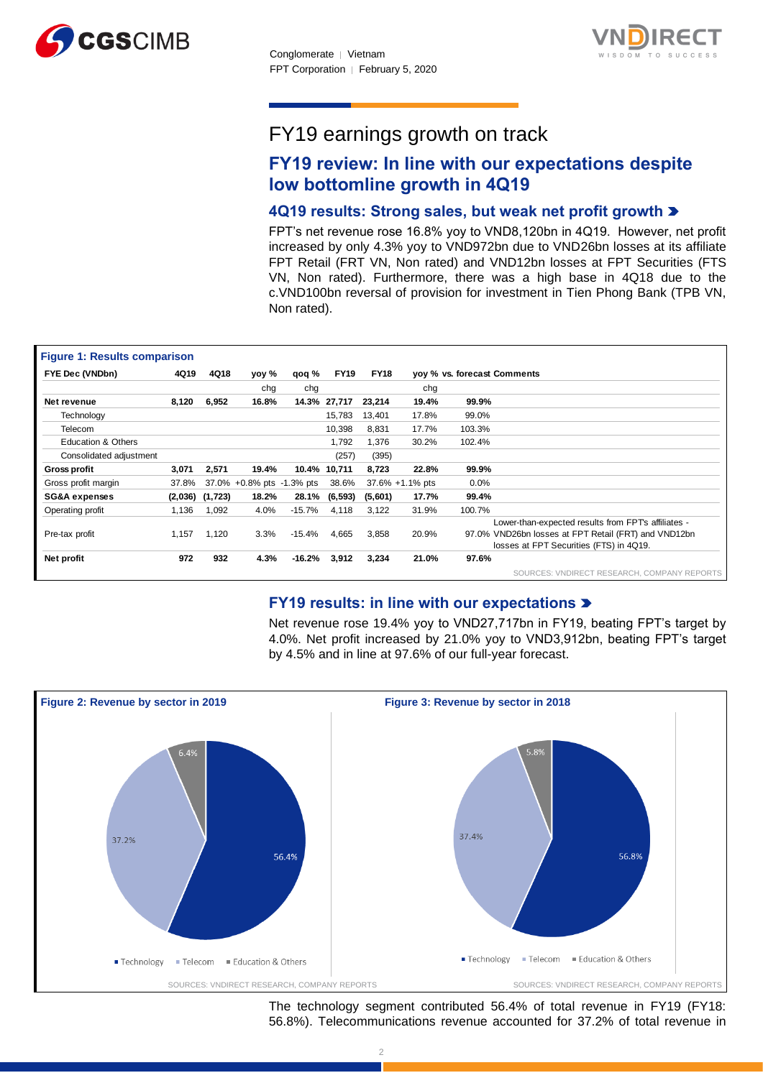



# FY19 earnings growth on track

# **FY19 review: In line with our expectations despite low bottomline growth in 4Q19**

### **4Q19 results: Strong sales, but weak net profit growth**

FPT's net revenue rose 16.8% yoy to VND8,120bn in 4Q19. However, net profit increased by only 4.3% yoy to VND972bn due to VND26bn losses at its affiliate FPT Retail (FRT VN, Non rated) and VND12bn losses at FPT Securities (FTS VN, Non rated). Furthermore, there was a high base in 4Q18 due to the c.VND100bn reversal of provision for investment in Tien Phong Bank (TPB VN, Non rated).

| <b>Figure 1: Results comparison</b> |       |                     |                           |          |              |             |                 |         |                                                      |
|-------------------------------------|-------|---------------------|---------------------------|----------|--------------|-------------|-----------------|---------|------------------------------------------------------|
| FYE Dec (VNDbn)                     | 4Q19  | 4Q18                | yoy %                     | qoq %    | <b>FY19</b>  | <b>FY18</b> |                 |         | yoy % vs. forecast Comments                          |
|                                     |       |                     | chq                       | chg      |              |             | chg             |         |                                                      |
| Net revenue                         | 8,120 | 6,952               | 16.8%                     |          | 14.3% 27,717 | 23,214      | 19.4%           | 99.9%   |                                                      |
| Technology                          |       |                     |                           |          | 15,783       | 13,401      | 17.8%           | 99.0%   |                                                      |
| Telecom                             |       |                     |                           |          | 10,398       | 8,831       | 17.7%           | 103.3%  |                                                      |
| <b>Education &amp; Others</b>       |       |                     |                           |          | 1,792        | 1,376       | 30.2%           | 102.4%  |                                                      |
| Consolidated adjustment             |       |                     |                           |          | (257)        | (395)       |                 |         |                                                      |
| <b>Gross profit</b>                 | 3,071 | 2,571               | 19.4%                     |          | 10.4% 10,711 | 8,723       | 22.8%           | 99.9%   |                                                      |
| Gross profit margin                 | 37.8% |                     | 37.0% +0.8% pts -1.3% pts |          | 38.6%        |             | 37.6% +1.1% pts | $0.0\%$ |                                                      |
| <b>SG&amp;A expenses</b>            |       | $(2,036)$ $(1,723)$ | 18.2%                     | 28.1%    | (6, 593)     | (5,601)     | 17.7%           | 99.4%   |                                                      |
| Operating profit                    | 1,136 | 1,092               | 4.0%                      | $-15.7%$ | 4,118        | 3.122       | 31.9%           | 100.7%  |                                                      |
|                                     |       |                     |                           |          |              |             |                 |         | Lower-than-expected results from FPTs affiliates -   |
| Pre-tax profit                      | 1,157 | 1,120               | 3.3%                      | $-15.4%$ | 4,665        | 3,858       | 20.9%           |         | 97.0% VND26bn losses at FPT Retail (FRT) and VND12bn |
|                                     |       |                     |                           |          |              |             |                 |         | losses at FPT Securities (FTS) in 4Q19.              |
| Net profit                          | 972   | 932                 | 4.3%                      | $-16.2%$ | 3,912        | 3,234       | 21.0%           | 97.6%   |                                                      |
|                                     |       |                     |                           |          |              |             |                 |         | SOURCES: VNDIRECT RESEARCH, COMPANY REPORTS          |

### **FY19 results: in line with our expectations**

Net revenue rose 19.4% yoy to VND27,717bn in FY19, beating FPT's target by 4.0%. Net profit increased by 21.0% yoy to VND3,912bn, beating FPT's target by 4.5% and in line at 97.6% of our full-year forecast.



The technology segment contributed 56.4% of total revenue in FY19 (FY18: 56.8%). Telecommunications revenue accounted for 37.2% of total revenue in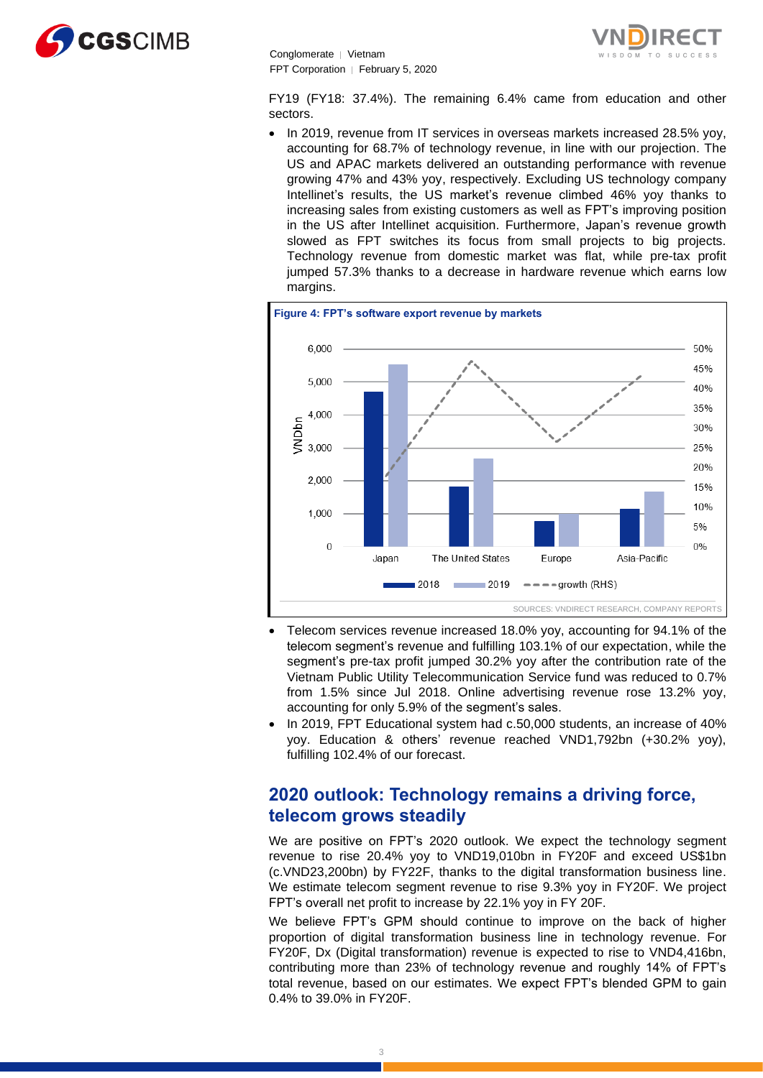



FY19 (FY18: 37.4%). The remaining 6.4% came from education and other sectors.

• In 2019, revenue from IT services in overseas markets increased 28.5% yoy, accounting for 68.7% of technology revenue, in line with our projection. The US and APAC markets delivered an outstanding performance with revenue growing 47% and 43% yoy, respectively. Excluding US technology company Intellinet's results, the US market's revenue climbed 46% yoy thanks to increasing sales from existing customers as well as FPT's improving position in the US after Intellinet acquisition. Furthermore, Japan's revenue growth slowed as FPT switches its focus from small projects to big projects. Technology revenue from domestic market was flat, while pre-tax profit jumped 57.3% thanks to a decrease in hardware revenue which earns low margins.



- Telecom services revenue increased 18.0% yoy, accounting for 94.1% of the telecom segment's revenue and fulfilling 103.1% of our expectation, while the segment's pre-tax profit jumped 30.2% yoy after the contribution rate of the Vietnam Public Utility Telecommunication Service fund was reduced to 0.7% from 1.5% since Jul 2018. Online advertising revenue rose 13.2% yoy, accounting for only 5.9% of the segment's sales.
- In 2019, FPT Educational system had c.50,000 students, an increase of 40% yoy. Education & others' revenue reached VND1,792bn (+30.2% yoy), fulfilling 102.4% of our forecast.

# **2020 outlook: Technology remains a driving force, telecom grows steadily**

We are positive on FPT's 2020 outlook. We expect the technology segment revenue to rise 20.4% yoy to VND19,010bn in FY20F and exceed US\$1bn (c.VND23,200bn) by FY22F, thanks to the digital transformation business line. We estimate telecom segment revenue to rise 9.3% yoy in FY20F. We project FPT's overall net profit to increase by 22.1% yoy in FY 20F.

We believe FPT's GPM should continue to improve on the back of higher proportion of digital transformation business line in technology revenue. For FY20F, Dx (Digital transformation) revenue is expected to rise to VND4,416bn, contributing more than 23% of technology revenue and roughly 14% of FPT's total revenue, based on our estimates. We expect FPT's blended GPM to gain 0.4% to 39.0% in FY20F.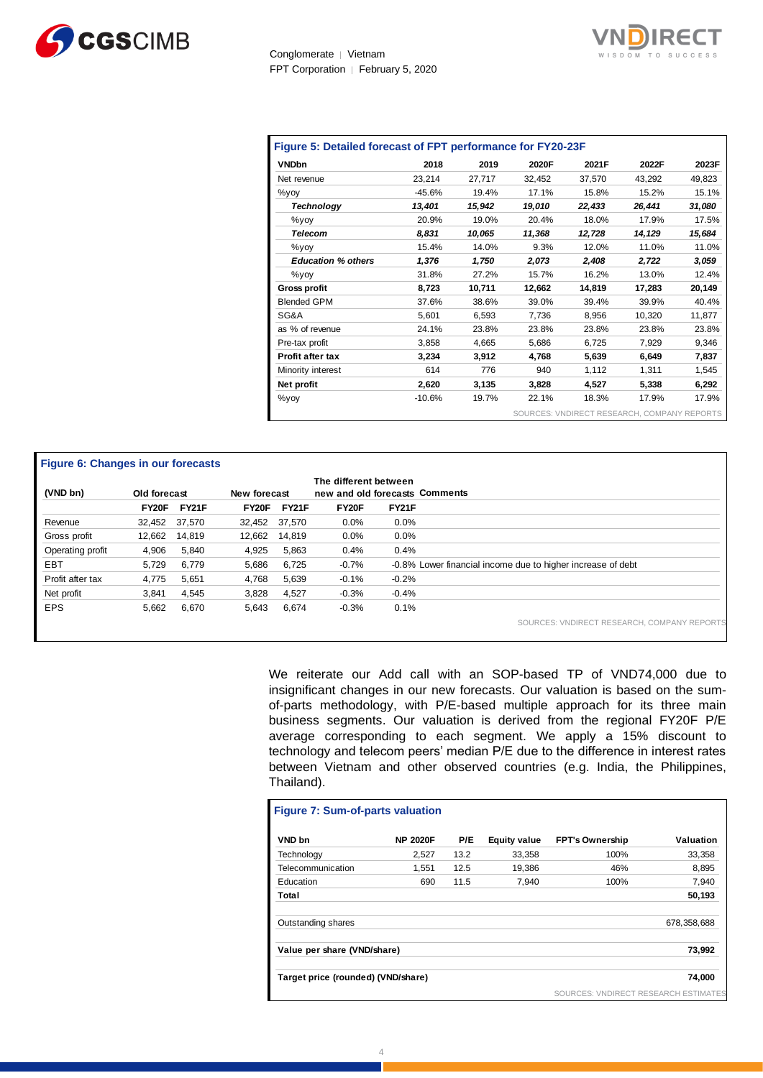



| <b>VNDbn</b>              | 2018     | 2019   | 2020F  | 2021F  | 2022F  | 2023F  |
|---------------------------|----------|--------|--------|--------|--------|--------|
| Net revenue               | 23,214   | 27,717 | 32,452 | 37,570 | 43,292 | 49,823 |
| $\%$ yoy                  | $-45.6%$ | 19.4%  | 17.1%  | 15.8%  | 15.2%  | 15.1%  |
| <b>Technology</b>         | 13,401   | 15,942 | 19,010 | 22,433 | 26,441 | 31,080 |
| $\%$ yoy                  | 20.9%    | 19.0%  | 20.4%  | 18.0%  | 17.9%  | 17.5%  |
| <b>Telecom</b>            | 8.831    | 10,065 | 11,368 | 12,728 | 14.129 | 15.684 |
| $\%$ yoy                  | 15.4%    | 14.0%  | 9.3%   | 12.0%  | 11.0%  | 11.0%  |
| <b>Education % others</b> | 1,376    | 1,750  | 2,073  | 2,408  | 2,722  | 3,059  |
| $\%$ yoy                  | 31.8%    | 27.2%  | 15.7%  | 16.2%  | 13.0%  | 12.4%  |
| <b>Gross profit</b>       | 8,723    | 10,711 | 12,662 | 14,819 | 17,283 | 20,149 |
| <b>Blended GPM</b>        | 37.6%    | 38.6%  | 39.0%  | 39.4%  | 39.9%  | 40.4%  |
| SG&A                      | 5.601    | 6,593  | 7,736  | 8,956  | 10.320 | 11,877 |
| as % of revenue           | 24.1%    | 23.8%  | 23.8%  | 23.8%  | 23.8%  | 23.8%  |
| Pre-tax profit            | 3,858    | 4,665  | 5,686  | 6,725  | 7,929  | 9,346  |
| Profit after tax          | 3,234    | 3,912  | 4.768  | 5,639  | 6,649  | 7,837  |
| Minority interest         | 614      | 776    | 940    | 1,112  | 1,311  | 1,545  |
| Net profit                | 2,620    | 3,135  | 3,828  | 4,527  | 5,338  | 6,292  |
| $\%$ yoy                  | $-10.6%$ | 19.7%  | 22.1%  | 18.3%  | 17.9%  | 17.9%  |

#### **Figure 6: Changes in our forecasts**

|                  |               |        |               |        | The different between          |              |                                                             |
|------------------|---------------|--------|---------------|--------|--------------------------------|--------------|-------------------------------------------------------------|
| (VND bn)         | Old forecast  |        | New forecast  |        | new and old forecasts Comments |              |                                                             |
|                  | FY20F         | FY21F  | FY20F         | FY21F  | FY20F                          | <b>FY21F</b> |                                                             |
| Revenue          | 32,452 37,570 |        | 32.452 37.570 |        | 0.0%                           | $0.0\%$      |                                                             |
| Gross profit     | 12,662        | 14,819 | 12,662        | 14.819 | 0.0%                           | 0.0%         |                                                             |
| Operating profit | 4,906         | 5,840  | 4,925         | 5.863  | 0.4%                           | 0.4%         |                                                             |
| <b>EBT</b>       | 5.729         | 6.779  | 5,686         | 6.725  | $-0.7%$                        |              | -0.8% Lower financial income due to higher increase of debt |
| Profit after tax | 4.775         | 5,651  | 4,768         | 5.639  | $-0.1%$                        | $-0.2%$      |                                                             |
| Net profit       | 3,841         | 4,545  | 3,828         | 4.527  | $-0.3%$                        | $-0.4%$      |                                                             |
| <b>EPS</b>       | 5,662         | 6,670  | 5,643         | 6,674  | $-0.3%$                        | 0.1%         |                                                             |
|                  |               |        |               |        |                                |              | SOURCES: VNDIRECT RESEARCH, COMPANY REPORTS                 |

We reiterate our Add call with an SOP-based TP of VND74,000 due to insignificant changes in our new forecasts. Our valuation is based on the sumof-parts methodology, with P/E-based multiple approach for its three main business segments. Our valuation is derived from the regional FY20F P/E average corresponding to each segment. We apply a 15% discount to technology and telecom peers' median P/E due to the difference in interest rates between Vietnam and other observed countries (e.g. India, the Philippines, Thailand).

| <b>Figure 7: Sum-of-parts valuation</b> |                 |      |                     |                                   |             |
|-----------------------------------------|-----------------|------|---------------------|-----------------------------------|-------------|
| VND bn                                  | <b>NP 2020F</b> | P/E  | <b>Equity value</b> | <b>FPT's Ownership</b>            | Valuation   |
| Technology                              | 2.527           | 13.2 | 33,358              | 100%                              | 33.358      |
| Telecommunication                       | 1.551           | 12.5 | 19.386              | 46%                               | 8.895       |
| Education                               | 690             | 11.5 | 7,940               | 100%                              | 7,940       |
| Total                                   |                 |      |                     |                                   | 50,193      |
| Outstanding shares                      |                 |      |                     |                                   | 678,358,688 |
| Value per share (VND/share)             |                 |      |                     |                                   | 73,992      |
| Target price (rounded) (VND/share)      |                 |      |                     |                                   | 74.000      |
|                                         |                 |      |                     | SOURCES: VNDIRECT RESEARCH ESTIMA |             |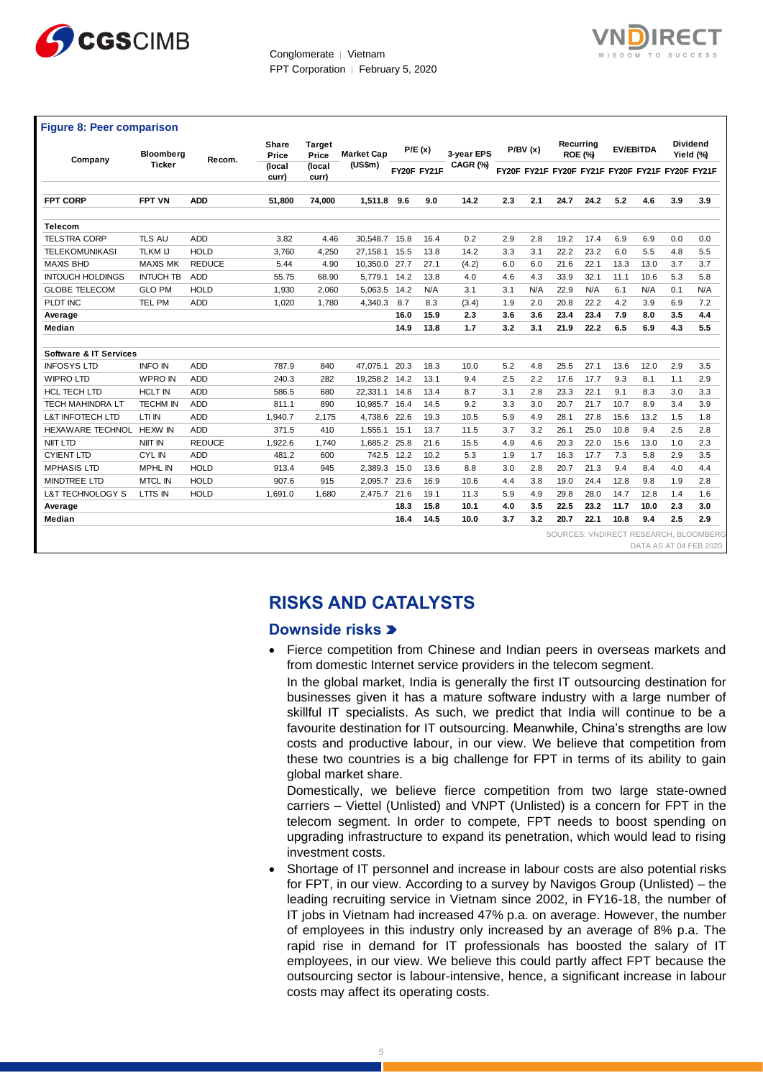



| Company                           | Bloomberg<br><b>Ticker</b> | Recom.        | Share<br>Price  | <b>Target</b><br>Price                                                      | <b>Market Cap</b><br>(US\$m)                                                                                                                                                                                                                                                                                                                                                                                                                                                                                                                                                                                                                                                                                                                                                                                                                                                                                                                                                                                        |              | P/E(x)       | 3-vear EPS<br>CAGR (%) |            | P/BV(x)    |              | Recurring<br><b>ROE (%)</b>                     |              | <b>EV/EBITDA</b> |            | Dividend<br>Yield (%) |
|-----------------------------------|----------------------------|---------------|-----------------|-----------------------------------------------------------------------------|---------------------------------------------------------------------------------------------------------------------------------------------------------------------------------------------------------------------------------------------------------------------------------------------------------------------------------------------------------------------------------------------------------------------------------------------------------------------------------------------------------------------------------------------------------------------------------------------------------------------------------------------------------------------------------------------------------------------------------------------------------------------------------------------------------------------------------------------------------------------------------------------------------------------------------------------------------------------------------------------------------------------|--------------|--------------|------------------------|------------|------------|--------------|-------------------------------------------------|--------------|------------------|------------|-----------------------|
|                                   |                            |               | (local<br>curr) | (local<br>curr)                                                             |                                                                                                                                                                                                                                                                                                                                                                                                                                                                                                                                                                                                                                                                                                                                                                                                                                                                                                                                                                                                                     |              | FY20F FY21F  |                        |            |            |              | FY20F FY21F FY20F FY21F FY20F FY21F FY20F FY21F |              |                  |            |                       |
| <b>FPT CORP</b>                   | <b>FPT VN</b>              | <b>ADD</b>    | 51,800          | 74,000                                                                      | 1,511.8                                                                                                                                                                                                                                                                                                                                                                                                                                                                                                                                                                                                                                                                                                                                                                                                                                                                                                                                                                                                             | 9.6          | 9.0          | 14.2                   | 2.3        | 2.1        | 24.7         | 24.2                                            | 5.2          | 4.6              | 3.9        | 3.9                   |
| Telecom                           |                            |               |                 |                                                                             |                                                                                                                                                                                                                                                                                                                                                                                                                                                                                                                                                                                                                                                                                                                                                                                                                                                                                                                                                                                                                     |              |              |                        |            |            |              |                                                 |              |                  |            |                       |
| <b>TELSTRA CORP</b>               | TLS AU                     | ADD           | 3.82            | 4.46                                                                        | 30,548.7                                                                                                                                                                                                                                                                                                                                                                                                                                                                                                                                                                                                                                                                                                                                                                                                                                                                                                                                                                                                            | 15.8         | 16.4         | 0.2                    | 2.9        | 2.8        | 19.2         | 17.4                                            | 6.9          | 6.9              | 0.0        | 0.0                   |
| <b>TELEKOMUNIKASI</b>             | <b>TLKM IJ</b>             | <b>HOLD</b>   | 3,760           | 4,250                                                                       | 27,158.1                                                                                                                                                                                                                                                                                                                                                                                                                                                                                                                                                                                                                                                                                                                                                                                                                                                                                                                                                                                                            | 15.5         | 13.8         | 14.2                   | 3.3        | 3.1        | 22.2         | 23.2                                            | 6.0          | 5.5              | 4.8        | 5.5                   |
| <b>MAXIS BHD</b>                  | <b>MAXIS MK</b>            | <b>REDUCE</b> | 5.44            | 4.90                                                                        | 10,350.0                                                                                                                                                                                                                                                                                                                                                                                                                                                                                                                                                                                                                                                                                                                                                                                                                                                                                                                                                                                                            | 27.7         | 27.1         | (4.2)                  | 6.0        | 6.0        | 21.6         | 22.1                                            | 13.3         | 13.0             | 3.7        | 3.7                   |
| <b>INTOUCH HOLDINGS</b>           | <b>INTUCH TB</b>           | ADD           | 55.75           | 68.90                                                                       | 5,779.1                                                                                                                                                                                                                                                                                                                                                                                                                                                                                                                                                                                                                                                                                                                                                                                                                                                                                                                                                                                                             | 14.2         | 13.8         | 4.0                    | 4.6        | 4.3        | 33.9         | 32.1                                            | 11.1         | 10.6             | 5.3        | 5.8                   |
| <b>GLOBE TELECOM</b>              | <b>GLO PM</b>              | <b>HOLD</b>   | 1,930           | 2,060                                                                       | 5,063.5                                                                                                                                                                                                                                                                                                                                                                                                                                                                                                                                                                                                                                                                                                                                                                                                                                                                                                                                                                                                             | 14.2         | N/A          | 3.1                    | 3.1        | N/A        | 22.9         | N/A                                             | 6.1          | N/A              | 0.1        | N/A                   |
| PLDT INC                          | <b>TEL PM</b>              | ADD           | 1,020           | 1,780                                                                       | 4,340.3                                                                                                                                                                                                                                                                                                                                                                                                                                                                                                                                                                                                                                                                                                                                                                                                                                                                                                                                                                                                             | 8.7          | 8.3          | (3.4)                  | 1.9        | 2.0        | 20.8         | 22.2                                            | 4.2          | 3.9              | 6.9        | 7.2                   |
| Average                           |                            |               |                 |                                                                             |                                                                                                                                                                                                                                                                                                                                                                                                                                                                                                                                                                                                                                                                                                                                                                                                                                                                                                                                                                                                                     | 16.0         | 15.9         | 2.3                    | 3.6        | 3.6        | 23.4         | 23.4                                            | 7.9          | 8.0              | 3.5        | 4.4                   |
| Median                            |                            |               |                 |                                                                             |                                                                                                                                                                                                                                                                                                                                                                                                                                                                                                                                                                                                                                                                                                                                                                                                                                                                                                                                                                                                                     | 14.9         | 13.8         | 1.7                    | 3.2        | 3.1        | 21.9         | 22.2                                            | 6.5          | 6.9              | 4.3        | 5.5                   |
| <b>Software &amp; IT Services</b> |                            |               |                 |                                                                             |                                                                                                                                                                                                                                                                                                                                                                                                                                                                                                                                                                                                                                                                                                                                                                                                                                                                                                                                                                                                                     |              |              |                        |            |            |              |                                                 |              |                  |            |                       |
| <b>INFOSYS LTD</b>                | <b>INFO IN</b>             | ADD           | 787.9           | 840                                                                         | 47,075.1                                                                                                                                                                                                                                                                                                                                                                                                                                                                                                                                                                                                                                                                                                                                                                                                                                                                                                                                                                                                            | 20.3         | 18.3         | 10.0                   | 5.2        | 4.8        | 25.5         | 27.1                                            | 13.6         | 12.0             | 2.9        | 3.5                   |
| <b>WIPRO LTD</b>                  | <b>WPRO IN</b>             | <b>ADD</b>    | 240.3           | 282                                                                         | 19,258.2 14.2                                                                                                                                                                                                                                                                                                                                                                                                                                                                                                                                                                                                                                                                                                                                                                                                                                                                                                                                                                                                       |              | 13.1         | 9.4                    | 2.5        | 2.2        | 17.6         | 17.7                                            | 9.3          | 8.1              | 1.1        | 2.9                   |
| HCL TECH LTD                      | <b>HCLT IN</b>             | ADD           | 586.5           | 680                                                                         | 22,331.1                                                                                                                                                                                                                                                                                                                                                                                                                                                                                                                                                                                                                                                                                                                                                                                                                                                                                                                                                                                                            | 14.8         | 13.4         | 8.7                    | 3.1        | 2.8        | 23.3         | 22.1                                            | 9.1          | 8.3              | 3.0        | 3.3                   |
| <b>TECH MAHINDRA LT</b>           | <b>TECHM IN</b>            | ADD           | 811.1           | 890                                                                         | 10,985.7                                                                                                                                                                                                                                                                                                                                                                                                                                                                                                                                                                                                                                                                                                                                                                                                                                                                                                                                                                                                            | 16.4         | 14.5         | 9.2                    | 3.3        | 3.0        | 20.7         | 21.7                                            | 10.7         | 8.9              | 3.4        | 3.9                   |
| <b>L&amp;T INFOTECH LTD</b>       | LTI IN                     | ADD           | 1,940.7         | 2,175                                                                       | 4,738.6                                                                                                                                                                                                                                                                                                                                                                                                                                                                                                                                                                                                                                                                                                                                                                                                                                                                                                                                                                                                             | 22.6         | 19.3         | 10.5                   | 5.9        | 4.9        | 28.1         | 27.8                                            | 15.6         | 13.2             | 1.5        | 1.8                   |
| HEXAWARE TECHNOL                  | HEXW IN                    | ADD           | 371.5           | 410                                                                         | 1,555.1                                                                                                                                                                                                                                                                                                                                                                                                                                                                                                                                                                                                                                                                                                                                                                                                                                                                                                                                                                                                             | 15.1         | 13.7         | 11.5                   | 3.7        | 3.2        | 26.1         | 25.0                                            | 10.8         | 9.4              | 2.5        | 2.8                   |
| NIIT LTD                          | NIIT IN                    | <b>REDUCE</b> | 1,922.6         | 1,740                                                                       | 1,685.2                                                                                                                                                                                                                                                                                                                                                                                                                                                                                                                                                                                                                                                                                                                                                                                                                                                                                                                                                                                                             | 25.8         | 21.6         | 15.5                   | 4.9        | 4.6        | 20.3         | 22.0                                            | 15.6         | 13.0             | 1.0        | 2.3                   |
| <b>CYIENT LTD</b>                 | CYL IN                     | <b>ADD</b>    | 481.2           | 600                                                                         | 742.5                                                                                                                                                                                                                                                                                                                                                                                                                                                                                                                                                                                                                                                                                                                                                                                                                                                                                                                                                                                                               | 12.2         | 10.2         | 5.3                    | 1.9        | 1.7        | 16.3         | 17.7                                            | 7.3          | 5.8              | 2.9        | 3.5                   |
| <b>MPHASIS LTD</b>                | <b>MPHL IN</b>             | <b>HOLD</b>   | 913.4           | 945                                                                         | 2,389.3                                                                                                                                                                                                                                                                                                                                                                                                                                                                                                                                                                                                                                                                                                                                                                                                                                                                                                                                                                                                             | 15.0         | 13.6         | 8.8                    | 3.0        | 2.8        | 20.7         | 21.3                                            | 9.4          | 8.4              | 4.0        | 4.4                   |
| MINDTREE LTD                      | <b>MTCL IN</b>             | <b>HOLD</b>   | 907.6           | 915                                                                         | 2,095.7                                                                                                                                                                                                                                                                                                                                                                                                                                                                                                                                                                                                                                                                                                                                                                                                                                                                                                                                                                                                             | 23.6         | 16.9         | 10.6                   | 4.4        | 3.8        | 19.0         | 24.4                                            | 12.8         | 9.8              | 1.9        | 2.8                   |
| L&T TECHNOLOGY S                  | LTTS IN                    | <b>HOLD</b>   | 1,691.0         | 1,680                                                                       | 2,475.7                                                                                                                                                                                                                                                                                                                                                                                                                                                                                                                                                                                                                                                                                                                                                                                                                                                                                                                                                                                                             | 21.6         | 19.1         | 11.3                   | 5.9        | 4.9        | 29.8         | 28.0                                            | 14.7         | 12.8             | 1.4        | 1.6                   |
| Average<br>Median                 |                            |               |                 |                                                                             |                                                                                                                                                                                                                                                                                                                                                                                                                                                                                                                                                                                                                                                                                                                                                                                                                                                                                                                                                                                                                     | 18.3<br>16.4 | 15.8<br>14.5 | 10.1<br>10.0           | 4.0<br>3.7 | 3.5<br>3.2 | 22.5<br>20.7 | 23.2<br>22.1                                    | 11.7<br>10.8 | 10.0<br>9.4      | 2.3<br>2.5 | 3.0<br>2.9            |
|                                   |                            |               |                 |                                                                             | <b>RISKS AND CATALYSTS</b><br>Downside risks >                                                                                                                                                                                                                                                                                                                                                                                                                                                                                                                                                                                                                                                                                                                                                                                                                                                                                                                                                                      |              |              |                        |            |            |              |                                                 |              |                  |            |                       |
|                                   |                            |               |                 |                                                                             | Fierce competition from Chinese and Indian peers in overseas markets and<br>from domestic Internet service providers in the telecom segment.<br>In the global market, India is generally the first IT outsourcing destination for<br>businesses given it has a mature software industry with a large number of<br>skillful IT specialists. As such, we predict that India will continue to be a<br>favourite destination for IT outsourcing. Meanwhile, China's strengths are low<br>costs and productive labour, in our view. We believe that competition from<br>these two countries is a big challenge for FPT in terms of its ability to gain<br>global market share.<br>Domestically, we believe fierce competition from two large state-owned<br>carriers - Viettel (Unlisted) and VNPT (Unlisted) is a concern for FPT in the<br>telecom segment. In order to compete, FPT needs to boost spending on<br>upgrading infrastructure to expand its penetration, which would lead to rising<br>investment costs. |              |              |                        |            |            |              |                                                 |              |                  |            |                       |
|                                   |                            |               |                 | leading recruiting service in Vietnam since 2002, in FY16-18, the number of | Shortage of IT personnel and increase in labour costs are also potential risks<br>for FPT, in our view. According to a survey by Navigos Group (Unlisted) – the                                                                                                                                                                                                                                                                                                                                                                                                                                                                                                                                                                                                                                                                                                                                                                                                                                                     |              |              |                        |            |            |              |                                                 |              |                  |            |                       |

# **RISKS AND CATALYSTS**

### **Downside risks**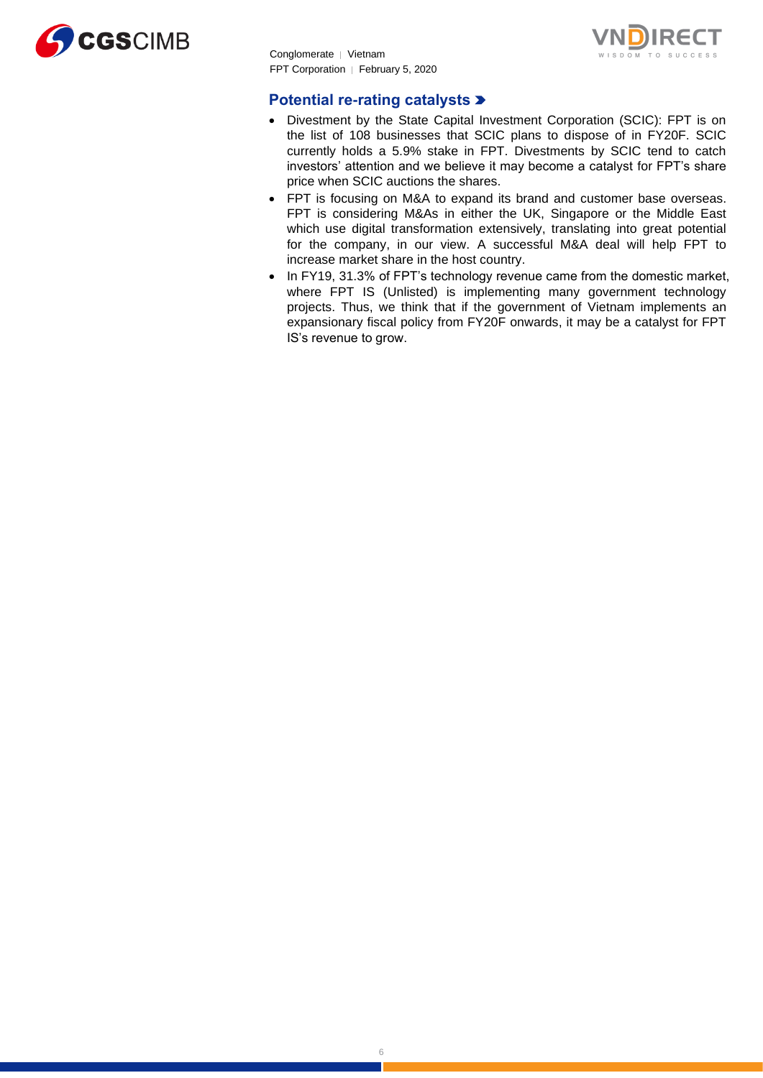



### **Potential re-rating catalysts**

- Divestment by the State Capital Investment Corporation (SCIC): FPT is on the list of 108 businesses that SCIC plans to dispose of in FY20F. SCIC currently holds a 5.9% stake in FPT. Divestments by SCIC tend to catch investors' attention and we believe it may become a catalyst for FPT's share price when SCIC auctions the shares.
- FPT is focusing on M&A to expand its brand and customer base overseas. FPT is considering M&As in either the UK, Singapore or the Middle East which use digital transformation extensively, translating into great potential for the company, in our view. A successful M&A deal will help FPT to increase market share in the host country.
- In FY19, 31.3% of FPT's technology revenue came from the domestic market. where FPT IS (Unlisted) is implementing many government technology projects. Thus, we think that if the government of Vietnam implements an expansionary fiscal policy from FY20F onwards, it may be a catalyst for FPT IS's revenue to grow.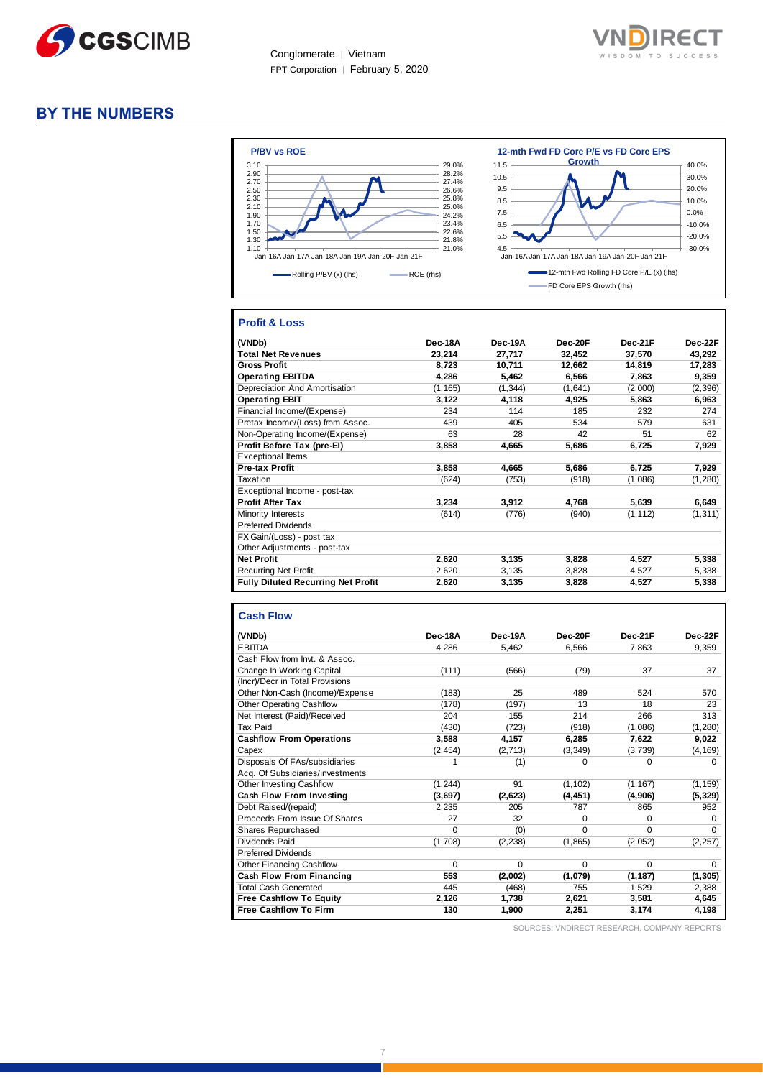



### **BY THE NUMBERS**



### **Profit & Loss**

| (VNDb)                                    | Dec-18A  | Dec-19A  | Dec-20F | Dec-21F  | Dec-22F  |
|-------------------------------------------|----------|----------|---------|----------|----------|
| <b>Total Net Revenues</b>                 | 23,214   | 27,717   | 32,452  | 37,570   | 43,292   |
| <b>Gross Profit</b>                       | 8,723    | 10,711   | 12,662  | 14,819   | 17,283   |
| <b>Operating EBITDA</b>                   | 4,286    | 5,462    | 6,566   | 7,863    | 9,359    |
| Depreciation And Amortisation             | (1, 165) | (1, 344) | (1,641) | (2,000)  | (2, 396) |
| <b>Operating EBIT</b>                     | 3,122    | 4,118    | 4,925   | 5,863    | 6,963    |
| Financial Income/(Expense)                | 234      | 114      | 185     | 232      | 274      |
| Pretax Income/(Loss) from Assoc.          | 439      | 405      | 534     | 579      | 631      |
| Non-Operating Income/(Expense)            | 63       | 28       | 42      | 51       | 62       |
| Profit Before Tax (pre-El)                | 3,858    | 4,665    | 5,686   | 6,725    | 7,929    |
| <b>Exceptional Items</b>                  |          |          |         |          |          |
| <b>Pre-tax Profit</b>                     | 3,858    | 4,665    | 5,686   | 6,725    | 7,929    |
| Taxation                                  | (624)    | (753)    | (918)   | (1,086)  | (1,280)  |
| Exceptional Income - post-tax             |          |          |         |          |          |
| <b>Profit After Tax</b>                   | 3.234    | 3.912    | 4.768   | 5,639    | 6,649    |
| Minority Interests                        | (614)    | (776)    | (940)   | (1, 112) | (1, 311) |
| <b>Preferred Dividends</b>                |          |          |         |          |          |
| FX Gain/(Loss) - post tax                 |          |          |         |          |          |
| Other Adjustments - post-tax              |          |          |         |          |          |
| <b>Net Profit</b>                         | 2,620    | 3,135    | 3,828   | 4,527    | 5,338    |
| <b>Recurring Net Profit</b>               | 2,620    | 3,135    | 3,828   | 4,527    | 5,338    |
| <b>Fully Diluted Recurring Net Profit</b> | 2,620    | 3,135    | 3,828   | 4,527    | 5,338    |

#### **Cash Flow**

| Dec-18A  | Dec-19A  | Dec-20F  | Dec-21F  | Dec-22F  |
|----------|----------|----------|----------|----------|
| 4.286    | 5,462    | 6,566    | 7,863    | 9,359    |
|          |          |          |          |          |
| (111)    | (566)    | (79)     | 37       | 37       |
|          |          |          |          |          |
| (183)    | 25       | 489      | 524      | 570      |
| (178)    | (197)    | 13       | 18       | 23       |
| 204      | 155      | 214      | 266      | 313      |
| (430)    | (723)    | (918)    | (1,086)  | (1, 280) |
| 3,588    | 4,157    | 6,285    | 7,622    | 9,022    |
| (2, 454) | (2, 713) | (3, 349) | (3,739)  | (4, 169) |
| 1        | (1)      | $\Omega$ | 0        | 0        |
|          |          |          |          |          |
| (1, 244) | 91       | (1, 102) | (1, 167) | (1, 159) |
| (3,697)  | (2,623)  | (4, 451) | (4,906)  | (5, 329) |
| 2.235    | 205      | 787      | 865      | 952      |
| 27       | 32       | $\Omega$ | $\Omega$ | O        |
| $\Omega$ | (0)      | $\Omega$ | $\Omega$ | O        |
| (1,708)  | (2, 238) | (1, 865) | (2,052)  | (2, 257) |
|          |          |          |          |          |
| $\Omega$ | $\Omega$ | $\Omega$ | $\Omega$ | 0        |
| 553      | (2,002)  | (1,079)  | (1, 187) | (1, 305) |
| 445      | (468)    | 755      | 1,529    | 2,388    |
| 2,126    | 1,738    | 2,621    | 3,581    | 4,645    |
| 130      | 1,900    | 2,251    | 3,174    | 4,198    |
|          |          |          |          |          |

SOURCES: VNDIRECT RESEARCH, COMPANY REPORTS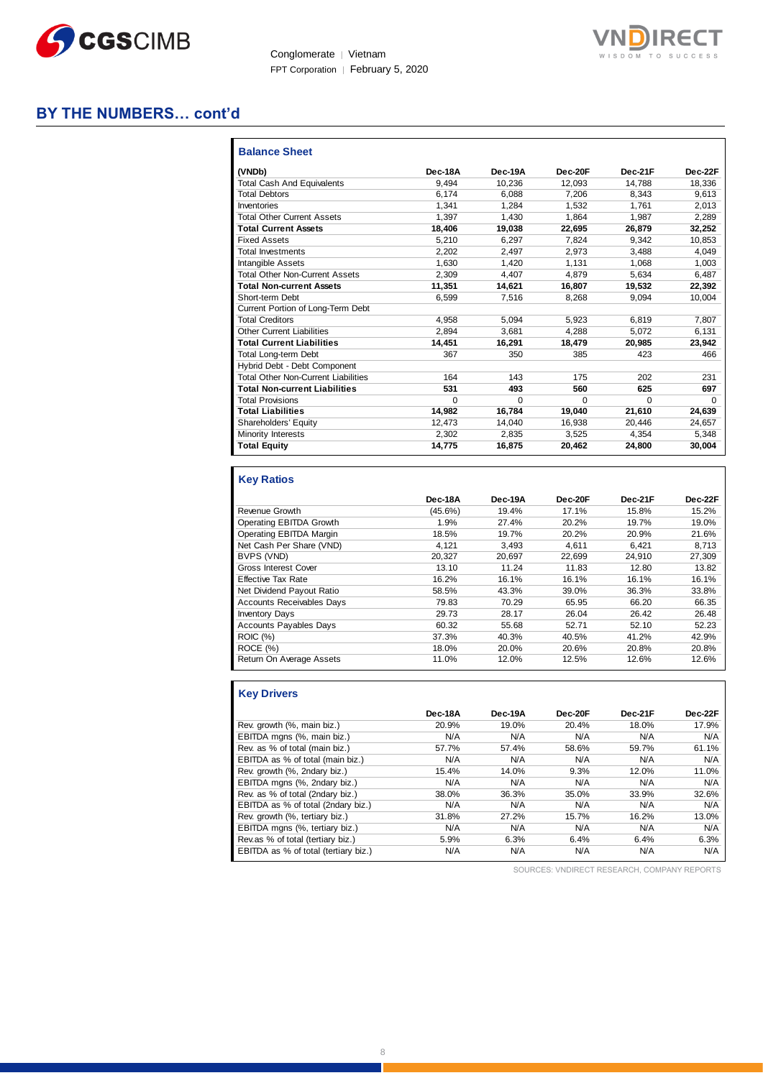



### **BY THE NUMBERS… cont'd**

| <b>Balance Sheet</b>                       |         |          |          |          |          |
|--------------------------------------------|---------|----------|----------|----------|----------|
| (VNDb)                                     | Dec-18A | Dec-19A  | Dec-20F  | Dec-21F  | Dec-22F  |
| <b>Total Cash And Equivalents</b>          | 9.494   | 10,236   | 12.093   | 14.788   | 18.336   |
| <b>Total Debtors</b>                       | 6.174   | 6.088    | 7.206    | 8.343    | 9,613    |
| Inventories                                | 1.341   | 1.284    | 1.532    | 1.761    | 2,013    |
| <b>Total Other Current Assets</b>          | 1.397   | 1.430    | 1.864    | 1.987    | 2.289    |
| <b>Total Current Assets</b>                | 18,406  | 19,038   | 22,695   | 26,879   | 32,252   |
| <b>Fixed Assets</b>                        | 5.210   | 6.297    | 7.824    | 9.342    | 10.853   |
| Total Investments                          | 2.202   | 2.497    | 2.973    | 3.488    | 4.049    |
| Intangible Assets                          | 1.630   | 1.420    | 1.131    | 1.068    | 1.003    |
| <b>Total Other Non-Current Assets</b>      | 2.309   | 4.407    | 4.879    | 5.634    | 6,487    |
| <b>Total Non-current Assets</b>            | 11.351  | 14.621   | 16,807   | 19,532   | 22,392   |
| Short-term Debt                            | 6.599   | 7.516    | 8,268    | 9.094    | 10.004   |
| Current Portion of Long-Term Debt          |         |          |          |          |          |
| <b>Total Creditors</b>                     | 4.958   | 5.094    | 5.923    | 6.819    | 7.807    |
| <b>Other Current Liabilities</b>           | 2.894   | 3.681    | 4.288    | 5.072    | 6,131    |
| <b>Total Current Liabilities</b>           | 14.451  | 16.291   | 18,479   | 20.985   | 23,942   |
| <b>Total Long-term Debt</b>                | 367     | 350      | 385      | 423      | 466      |
| Hybrid Debt - Debt Component               |         |          |          |          |          |
| <b>Total Other Non-Current Liabilities</b> | 164     | 143      | 175      | 202      | 231      |
| <b>Total Non-current Liabilities</b>       | 531     | 493      | 560      | 625      | 697      |
| <b>Total Provisions</b>                    | U       | $\Omega$ | $\Omega$ | $\Omega$ | $\Omega$ |
| <b>Total Liabilities</b>                   | 14,982  | 16.784   | 19.040   | 21,610   | 24,639   |
| Shareholders' Equity                       | 12.473  | 14.040   | 16.938   | 20,446   | 24,657   |
| Minority Interests                         | 2.302   | 2.835    | 3.525    | 4,354    | 5,348    |
| <b>Total Equity</b>                        | 14.775  | 16,875   | 20,462   | 24,800   | 30,004   |

### **Key Ratios**

|                                  | Dec-18A    | Dec-19A | Dec-20F | Dec-21F | Dec-22F |
|----------------------------------|------------|---------|---------|---------|---------|
| Revenue Growth                   | $(45.6\%)$ | 19.4%   | 17.1%   | 15.8%   | 15.2%   |
| Operating EBITDA Growth          | 1.9%       | 27.4%   | 20.2%   | 19.7%   | 19.0%   |
| Operating EBITDA Margin          | 18.5%      | 19.7%   | 20.2%   | 20.9%   | 21.6%   |
| Net Cash Per Share (VND)         | 4.121      | 3,493   | 4.611   | 6.421   | 8,713   |
| BVPS (VND)                       | 20.327     | 20.697  | 22.699  | 24.910  | 27,309  |
| <b>Gross Interest Cover</b>      | 13.10      | 11.24   | 11.83   | 12.80   | 13.82   |
| <b>Effective Tax Rate</b>        | 16.2%      | 16.1%   | 16.1%   | 16.1%   | 16.1%   |
| Net Dividend Payout Ratio        | 58.5%      | 43.3%   | 39.0%   | 36.3%   | 33.8%   |
| <b>Accounts Receivables Days</b> | 79.83      | 70.29   | 65.95   | 66.20   | 66.35   |
| <b>Inventory Days</b>            | 29.73      | 28.17   | 26.04   | 26.42   | 26.48   |
| <b>Accounts Payables Days</b>    | 60.32      | 55.68   | 52.71   | 52.10   | 52.23   |
| <b>ROIC</b> (%)                  | 37.3%      | 40.3%   | 40.5%   | 41.2%   | 42.9%   |
| ROCE (%)                         | 18.0%      | 20.0%   | 20.6%   | 20.8%   | 20.8%   |
| Return On Average Assets         | 11.0%      | 12.0%   | 12.5%   | 12.6%   | 12.6%   |

| <b>Key Drivers</b>                   |         |         |         |         |         |
|--------------------------------------|---------|---------|---------|---------|---------|
|                                      | Dec-18A | Dec-19A | Dec-20F | Dec-21F | Dec-22F |
| Rev. growth (%, main biz.)           | 20.9%   | 19.0%   | 20.4%   | 18.0%   | 17.9%   |
| EBITDA mgns (%, main biz.)           | N/A     | N/A     | N/A     | N/A     | N/A     |
| Rev. as % of total (main biz.)       | 57.7%   | 57.4%   | 58.6%   | 59.7%   | 61.1%   |
| EBITDA as % of total (main biz.)     | N/A     | N/A     | N/A     | N/A     | N/A     |
| Rev. growth (%, 2ndary biz.)         | 15.4%   | 14.0%   | 9.3%    | 12.0%   | 11.0%   |
| EBITDA mgns (%, 2ndary biz.)         | N/A     | N/A     | N/A     | N/A     | N/A     |
| Rev. as % of total (2ndary biz.)     | 38.0%   | 36.3%   | 35.0%   | 33.9%   | 32.6%   |
| EBITDA as % of total (2ndary biz.)   | N/A     | N/A     | N/A     | N/A     | N/A     |
| Rev. growth (%, tertiary biz.)       | 31.8%   | 27.2%   | 15.7%   | 16.2%   | 13.0%   |
| EBITDA mgns (%, tertiary biz.)       | N/A     | N/A     | N/A     | N/A     | N/A     |
| Rev.as % of total (tertiary biz.)    | 5.9%    | 6.3%    | 6.4%    | 6.4%    | 6.3%    |
| EBITDA as % of total (tertiary biz.) | N/A     | N/A     | N/A     | N/A     | N/A     |

SOURCES: VNDIRECT RESEARCH, COMPANY REPORTS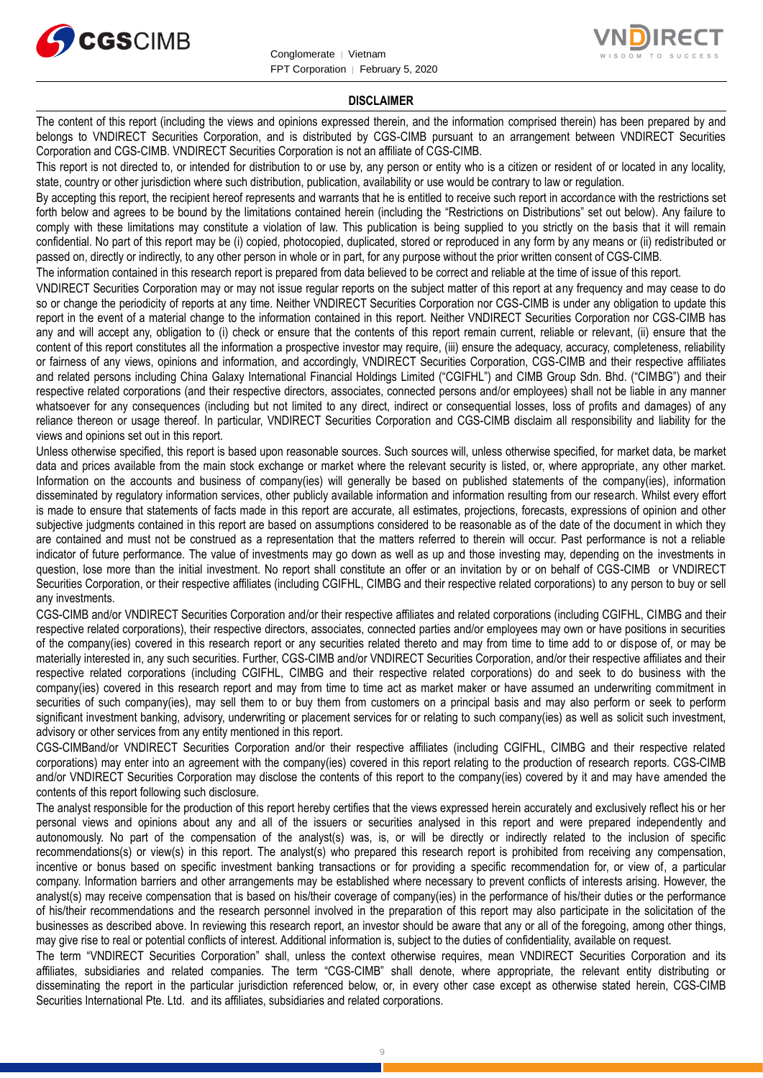



#### **DISCLAIMER**

The content of this report (including the views and opinions expressed therein, and the information comprised therein) has been prepared by and belongs to VNDIRECT Securities Corporation, and is distributed by CGS-CIMB pursuant to an arrangement between VNDIRECT Securities Corporation and CGS-CIMB. VNDIRECT Securities Corporation is not an affiliate of CGS-CIMB.

This report is not directed to, or intended for distribution to or use by, any person or entity who is a citizen or resident of or located in any locality, state, country or other jurisdiction where such distribution, publication, availability or use would be contrary to law or regulation.

By accepting this report, the recipient hereof represents and warrants that he is entitled to receive such report in accordance with the restrictions set forth below and agrees to be bound by the limitations contained herein (including the "Restrictions on Distributions" set out below). Any failure to comply with these limitations may constitute a violation of law. This publication is being supplied to you strictly on the basis that it will remain confidential. No part of this report may be (i) copied, photocopied, duplicated, stored or reproduced in any form by any means or (ii) redistributed or passed on, directly or indirectly, to any other person in whole or in part, for any purpose without the prior written consent of CGS-CIMB.

The information contained in this research report is prepared from data believed to be correct and reliable at the time of issue of this report.

VNDIRECT Securities Corporation may or may not issue regular reports on the subject matter of this report at any frequency and may cease to do so or change the periodicity of reports at any time. Neither VNDIRECT Securities Corporation nor CGS-CIMB is under any obligation to update this report in the event of a material change to the information contained in this report. Neither VNDIRECT Securities Corporation nor CGS-CIMB has any and will accept any, obligation to (i) check or ensure that the contents of this report remain current, reliable or relevant, (ii) ensure that the content of this report constitutes all the information a prospective investor may require, (iii) ensure the adequacy, accuracy, completeness, reliability or fairness of any views, opinions and information, and accordingly, VNDIRECT Securities Corporation, CGS-CIMB and their respective affiliates and related persons including China Galaxy International Financial Holdings Limited ("CGIFHL") and CIMB Group Sdn. Bhd. ("CIMBG") and their respective related corporations (and their respective directors, associates, connected persons and/or employees) shall not be liable in any manner whatsoever for any consequences (including but not limited to any direct, indirect or consequential losses, loss of profits and damages) of any reliance thereon or usage thereof. In particular, VNDIRECT Securities Corporation and CGS-CIMB disclaim all responsibility and liability for the views and opinions set out in this report.

Unless otherwise specified, this report is based upon reasonable sources. Such sources will, unless otherwise specified, for market data, be market data and prices available from the main stock exchange or market where the relevant security is listed, or, where appropriate, any other market. Information on the accounts and business of company(ies) will generally be based on published statements of the company(ies), information disseminated by regulatory information services, other publicly available information and information resulting from our research. Whilst every effort is made to ensure that statements of facts made in this report are accurate, all estimates, projections, forecasts, expressions of opinion and other subjective judgments contained in this report are based on assumptions considered to be reasonable as of the date of the document in which they are contained and must not be construed as a representation that the matters referred to therein will occur. Past performance is not a reliable indicator of future performance. The value of investments may go down as well as up and those investing may, depending on the investments in question, lose more than the initial investment. No report shall constitute an offer or an invitation by or on behalf of CGS-CIMB or VNDIRECT Securities Corporation, or their respective affiliates (including CGIFHL, CIMBG and their respective related corporations) to any person to buy or sell any investments.

CGS-CIMB and/or VNDIRECT Securities Corporation and/or their respective affiliates and related corporations (including CGIFHL, CIMBG and their respective related corporations), their respective directors, associates, connected parties and/or employees may own or have positions in securities of the company(ies) covered in this research report or any securities related thereto and may from time to time add to or dispose of, or may be materially interested in, any such securities. Further, CGS-CIMB and/or VNDIRECT Securities Corporation, and/or their respective affiliates and their respective related corporations (including CGIFHL, CIMBG and their respective related corporations) do and seek to do business with the company(ies) covered in this research report and may from time to time act as market maker or have assumed an underwriting commitment in securities of such company(ies), may sell them to or buy them from customers on a principal basis and may also perform or seek to perform significant investment banking, advisory, underwriting or placement services for or relating to such company(ies) as well as solicit such investment, advisory or other services from any entity mentioned in this report.

CGS-CIMBand/or VNDIRECT Securities Corporation and/or their respective affiliates (including CGIFHL, CIMBG and their respective related corporations) may enter into an agreement with the company(ies) covered in this report relating to the production of research reports. CGS-CIMB and/or VNDIRECT Securities Corporation may disclose the contents of this report to the company(ies) covered by it and may have amended the contents of this report following such disclosure.

The analyst responsible for the production of this report hereby certifies that the views expressed herein accurately and exclusively reflect his or her personal views and opinions about any and all of the issuers or securities analysed in this report and were prepared independently and autonomously. No part of the compensation of the analyst(s) was, is, or will be directly or indirectly related to the inclusion of specific recommendations(s) or view(s) in this report. The analyst(s) who prepared this research report is prohibited from receiving any compensation, incentive or bonus based on specific investment banking transactions or for providing a specific recommendation for, or view of, a particular company. Information barriers and other arrangements may be established where necessary to prevent conflicts of interests arising. However, the analyst(s) may receive compensation that is based on his/their coverage of company(ies) in the performance of his/their duties or the performance of his/their recommendations and the research personnel involved in the preparation of this report may also participate in the solicitation of the businesses as described above. In reviewing this research report, an investor should be aware that any or all of the foregoing, among other things, may give rise to real or potential conflicts of interest. Additional information is, subject to the duties of confidentiality, available on request.

The term "VNDIRECT Securities Corporation" shall, unless the context otherwise requires, mean VNDIRECT Securities Corporation and its affiliates, subsidiaries and related companies. The term "CGS-CIMB" shall denote, where appropriate, the relevant entity distributing or disseminating the report in the particular jurisdiction referenced below, or, in every other case except as otherwise stated herein, CGS-CIMB Securities International Pte. Ltd. and its affiliates, subsidiaries and related corporations.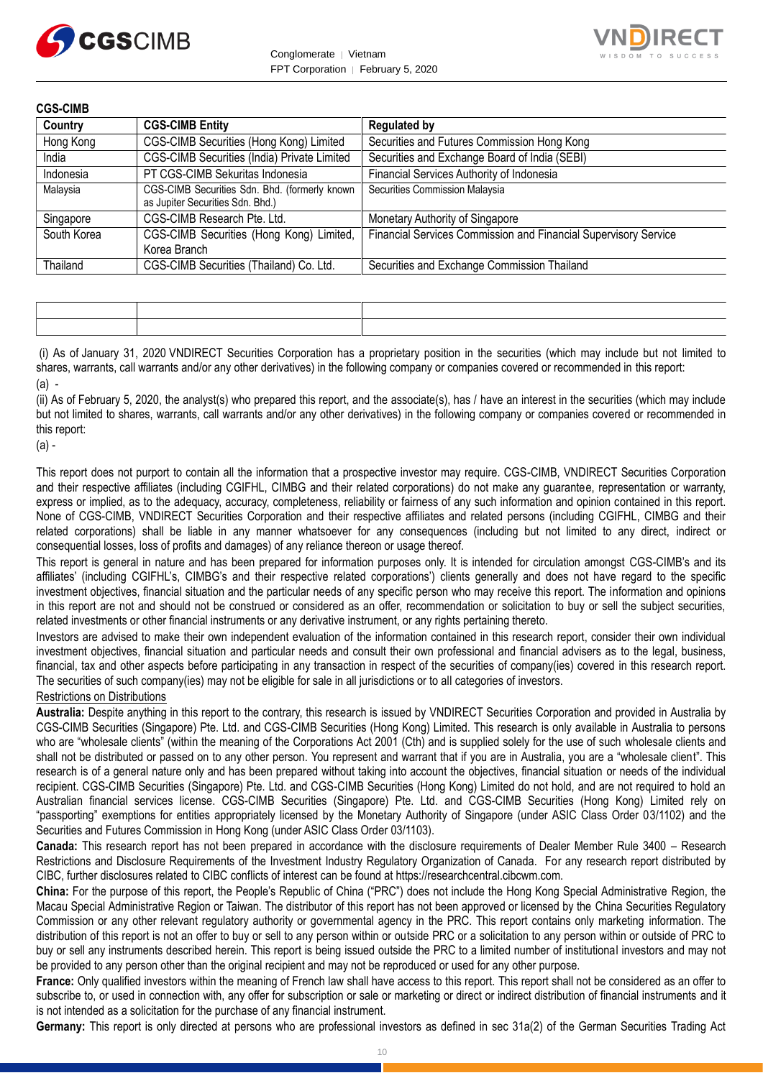



| Country     | <b>CGS-CIMB Entity</b>                                                            | <b>Regulated by</b>                                             |
|-------------|-----------------------------------------------------------------------------------|-----------------------------------------------------------------|
| Hong Kong   | CGS-CIMB Securities (Hong Kong) Limited                                           | Securities and Futures Commission Hong Kong                     |
| India       | CGS-CIMB Securities (India) Private Limited                                       | Securities and Exchange Board of India (SEBI)                   |
| Indonesia   | PT CGS-CIMB Sekuritas Indonesia                                                   | Financial Services Authority of Indonesia                       |
| Malaysia    | CGS-CIMB Securities Sdn. Bhd. (formerly known<br>as Jupiter Securities Sdn. Bhd.) | Securities Commission Malaysia                                  |
| Singapore   | CGS-CIMB Research Pte. Ltd.                                                       | Monetary Authority of Singapore                                 |
| South Korea | CGS-CIMB Securities (Hong Kong) Limited,<br>Korea Branch                          | Financial Services Commission and Financial Supervisory Service |
| Thailand    | CGS-CIMB Securities (Thailand) Co. Ltd.                                           | Securities and Exchange Commission Thailand                     |

(i) As of January 31, 2020 VNDIRECT Securities Corporation has a proprietary position in the securities (which may include but not limited to shares, warrants, call warrants and/or any other derivatives) in the following company or companies covered or recommended in this report:  $(a)$  -

(ii) As of February 5, 2020, the analyst(s) who prepared this report, and the associate(s), has / have an interest in the securities (which may include but not limited to shares, warrants, call warrants and/or any other derivatives) in the following company or companies covered or recommended in this report:

(a) -

This report does not purport to contain all the information that a prospective investor may require. CGS-CIMB, VNDIRECT Securities Corporation and their respective affiliates (including CGIFHL, CIMBG and their related corporations) do not make any guarantee, representation or warranty, express or implied, as to the adequacy, accuracy, completeness, reliability or fairness of any such information and opinion contained in this report. None of CGS-CIMB, VNDIRECT Securities Corporation and their respective affiliates and related persons (including CGIFHL, CIMBG and their related corporations) shall be liable in any manner whatsoever for any consequences (including but not limited to any direct, indirect or consequential losses, loss of profits and damages) of any reliance thereon or usage thereof.

This report is general in nature and has been prepared for information purposes only. It is intended for circulation amongst CGS-CIMB's and its affiliates' (including CGIFHL's, CIMBG's and their respective related corporations') clients generally and does not have regard to the specific investment objectives, financial situation and the particular needs of any specific person who may receive this report. The information and opinions in this report are not and should not be construed or considered as an offer, recommendation or solicitation to buy or sell the subject securities, related investments or other financial instruments or any derivative instrument, or any rights pertaining thereto.

Investors are advised to make their own independent evaluation of the information contained in this research report, consider their own individual investment objectives, financial situation and particular needs and consult their own professional and financial advisers as to the legal, business, financial, tax and other aspects before participating in any transaction in respect of the securities of company(ies) covered in this research report. The securities of such company(ies) may not be eligible for sale in all jurisdictions or to all categories of investors.

### Restrictions on Distributions

**Australia:** Despite anything in this report to the contrary, this research is issued by VNDIRECT Securities Corporation and provided in Australia by CGS-CIMB Securities (Singapore) Pte. Ltd. and CGS-CIMB Securities (Hong Kong) Limited. This research is only available in Australia to persons who are "wholesale clients" (within the meaning of the Corporations Act 2001 (Cth) and is supplied solely for the use of such wholesale clients and shall not be distributed or passed on to any other person. You represent and warrant that if you are in Australia, you are a "wholesale client". This research is of a general nature only and has been prepared without taking into account the objectives, financial situation or needs of the individual recipient. CGS-CIMB Securities (Singapore) Pte. Ltd. and CGS-CIMB Securities (Hong Kong) Limited do not hold, and are not required to hold an Australian financial services license. CGS-CIMB Securities (Singapore) Pte. Ltd. and CGS-CIMB Securities (Hong Kong) Limited rely on "passporting" exemptions for entities appropriately licensed by the Monetary Authority of Singapore (under ASIC Class Order 03/1102) and the Securities and Futures Commission in Hong Kong (under ASIC Class Order 03/1103).

**Canada:** This research report has not been prepared in accordance with the disclosure requirements of Dealer Member Rule 3400 – Research Restrictions and Disclosure Requirements of the Investment Industry Regulatory Organization of Canada. For any research report distributed by CIBC, further disclosures related to CIBC conflicts of interest can be found at https://researchcentral.cibcwm.com.

**China:** For the purpose of this report, the People's Republic of China ("PRC") does not include the Hong Kong Special Administrative Region, the Macau Special Administrative Region or Taiwan. The distributor of this report has not been approved or licensed by the China Securities Regulatory Commission or any other relevant regulatory authority or governmental agency in the PRC. This report contains only marketing information. The distribution of this report is not an offer to buy or sell to any person within or outside PRC or a solicitation to any person within or outside of PRC to buy or sell any instruments described herein. This report is being issued outside the PRC to a limited number of institutional investors and may not be provided to any person other than the original recipient and may not be reproduced or used for any other purpose.

**France:** Only qualified investors within the meaning of French law shall have access to this report. This report shall not be considered as an offer to subscribe to, or used in connection with, any offer for subscription or sale or marketing or direct or indirect distribution of financial instruments and it is not intended as a solicitation for the purchase of any financial instrument.

**Germany:** This report is only directed at persons who are professional investors as defined in sec 31a(2) of the German Securities Trading Act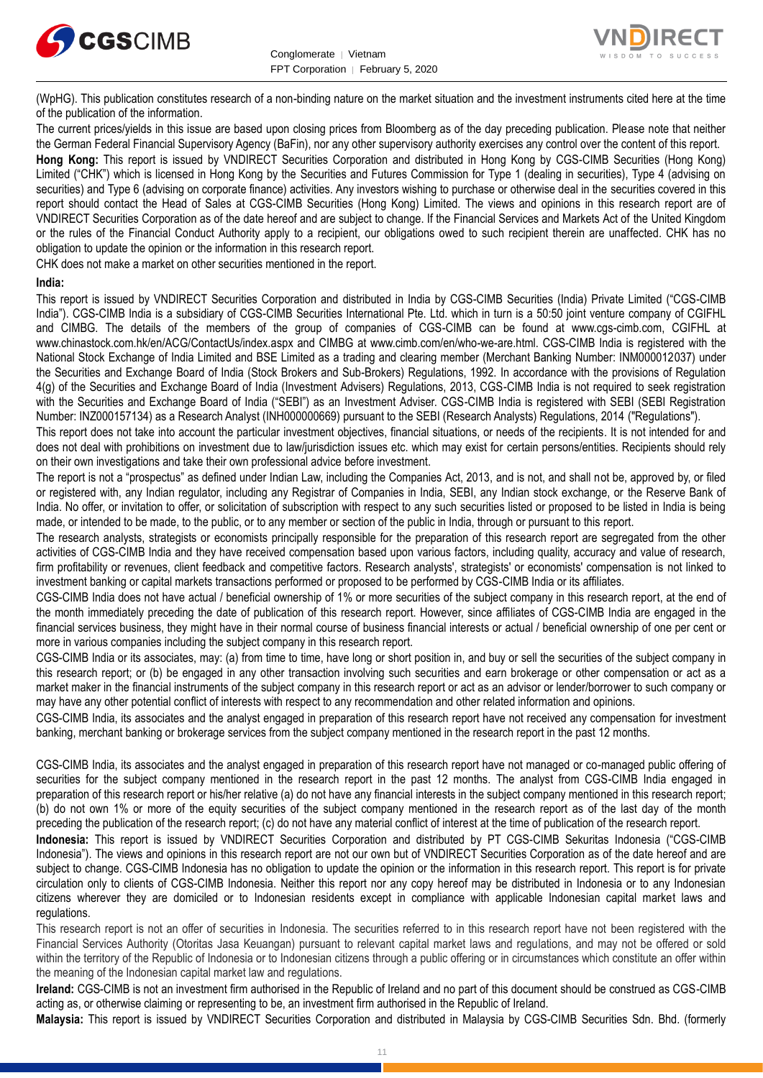



(WpHG). This publication constitutes research of a non-binding nature on the market situation and the investment instruments cited here at the time of the publication of the information.

The current prices/yields in this issue are based upon closing prices from Bloomberg as of the day preceding publication. Please note that neither the German Federal Financial Supervisory Agency (BaFin), nor any other supervisory authority exercises any control over the content of this report.

**Hong Kong:** This report is issued by VNDIRECT Securities Corporation and distributed in Hong Kong by CGS-CIMB Securities (Hong Kong) Limited ("CHK") which is licensed in Hong Kong by the Securities and Futures Commission for Type 1 (dealing in securities), Type 4 (advising on securities) and Type 6 (advising on corporate finance) activities. Any investors wishing to purchase or otherwise deal in the securities covered in this report should contact the Head of Sales at CGS-CIMB Securities (Hong Kong) Limited. The views and opinions in this research report are of VNDIRECT Securities Corporation as of the date hereof and are subject to change. If the Financial Services and Markets Act of the United Kingdom or the rules of the Financial Conduct Authority apply to a recipient, our obligations owed to such recipient therein are unaffected. CHK has no obligation to update the opinion or the information in this research report.

CHK does not make a market on other securities mentioned in the report.

#### **India:**

This report is issued by VNDIRECT Securities Corporation and distributed in India by CGS-CIMB Securities (India) Private Limited ("CGS-CIMB India"). CGS-CIMB India is a subsidiary of CGS-CIMB Securities International Pte. Ltd. which in turn is a 50:50 joint venture company of CGIFHL and CIMBG. The details of the members of the group of companies of CGS-CIMB can be found at www.cgs-cimb.com, CGIFHL at www.chinastock.com.hk/en/ACG/ContactUs/index.aspx and CIMBG at www.cimb.com/en/who-we-are.html. CGS-CIMB India is registered with the National Stock Exchange of India Limited and BSE Limited as a trading and clearing member (Merchant Banking Number: INM000012037) under the Securities and Exchange Board of India (Stock Brokers and Sub-Brokers) Regulations, 1992. In accordance with the provisions of Regulation 4(g) of the Securities and Exchange Board of India (Investment Advisers) Regulations, 2013, CGS-CIMB India is not required to seek registration with the Securities and Exchange Board of India ("SEBI") as an Investment Adviser. CGS-CIMB India is registered with SEBI (SEBI Registration Number: INZ000157134) as a Research Analyst (INH000000669) pursuant to the SEBI (Research Analysts) Regulations, 2014 ("Regulations").

This report does not take into account the particular investment objectives, financial situations, or needs of the recipients. It is not intended for and does not deal with prohibitions on investment due to law/jurisdiction issues etc. which may exist for certain persons/entities. Recipients should rely on their own investigations and take their own professional advice before investment.

The report is not a "prospectus" as defined under Indian Law, including the Companies Act, 2013, and is not, and shall not be, approved by, or filed or registered with, any Indian regulator, including any Registrar of Companies in India, SEBI, any Indian stock exchange, or the Reserve Bank of India. No offer, or invitation to offer, or solicitation of subscription with respect to any such securities listed or proposed to be listed in India is being made, or intended to be made, to the public, or to any member or section of the public in India, through or pursuant to this report.

The research analysts, strategists or economists principally responsible for the preparation of this research report are segregated from the other activities of CGS-CIMB India and they have received compensation based upon various factors, including quality, accuracy and value of research, firm profitability or revenues, client feedback and competitive factors. Research analysts', strategists' or economists' compensation is not linked to investment banking or capital markets transactions performed or proposed to be performed by CGS-CIMB India or its affiliates.

CGS-CIMB India does not have actual / beneficial ownership of 1% or more securities of the subject company in this research report, at the end of the month immediately preceding the date of publication of this research report. However, since affiliates of CGS-CIMB India are engaged in the financial services business, they might have in their normal course of business financial interests or actual / beneficial ownership of one per cent or more in various companies including the subject company in this research report.

CGS-CIMB India or its associates, may: (a) from time to time, have long or short position in, and buy or sell the securities of the subject company in this research report; or (b) be engaged in any other transaction involving such securities and earn brokerage or other compensation or act as a market maker in the financial instruments of the subject company in this research report or act as an advisor or lender/borrower to such company or may have any other potential conflict of interests with respect to any recommendation and other related information and opinions.

CGS-CIMB India, its associates and the analyst engaged in preparation of this research report have not received any compensation for investment banking, merchant banking or brokerage services from the subject company mentioned in the research report in the past 12 months.

CGS-CIMB India, its associates and the analyst engaged in preparation of this research report have not managed or co-managed public offering of securities for the subject company mentioned in the research report in the past 12 months. The analyst from CGS-CIMB India engaged in preparation of this research report or his/her relative (a) do not have any financial interests in the subject company mentioned in this research report; (b) do not own 1% or more of the equity securities of the subject company mentioned in the research report as of the last day of the month preceding the publication of the research report; (c) do not have any material conflict of interest at the time of publication of the research report.

**Indonesia:** This report is issued by VNDIRECT Securities Corporation and distributed by PT CGS-CIMB Sekuritas Indonesia ("CGS-CIMB Indonesia"). The views and opinions in this research report are not our own but of VNDIRECT Securities Corporation as of the date hereof and are subject to change. CGS-CIMB Indonesia has no obligation to update the opinion or the information in this research report. This report is for private circulation only to clients of CGS-CIMB Indonesia. Neither this report nor any copy hereof may be distributed in Indonesia or to any Indonesian citizens wherever they are domiciled or to Indonesian residents except in compliance with applicable Indonesian capital market laws and regulations.

This research report is not an offer of securities in Indonesia. The securities referred to in this research report have not been registered with the Financial Services Authority (Otoritas Jasa Keuangan) pursuant to relevant capital market laws and regulations, and may not be offered or sold within the territory of the Republic of Indonesia or to Indonesian citizens through a public offering or in circumstances which constitute an offer within the meaning of the Indonesian capital market law and regulations.

**Ireland:** CGS-CIMB is not an investment firm authorised in the Republic of Ireland and no part of this document should be construed as CGS-CIMB acting as, or otherwise claiming or representing to be, an investment firm authorised in the Republic of Ireland.

**Malaysia:** This report is issued by VNDIRECT Securities Corporation and distributed in Malaysia by CGS-CIMB Securities Sdn. Bhd. (formerly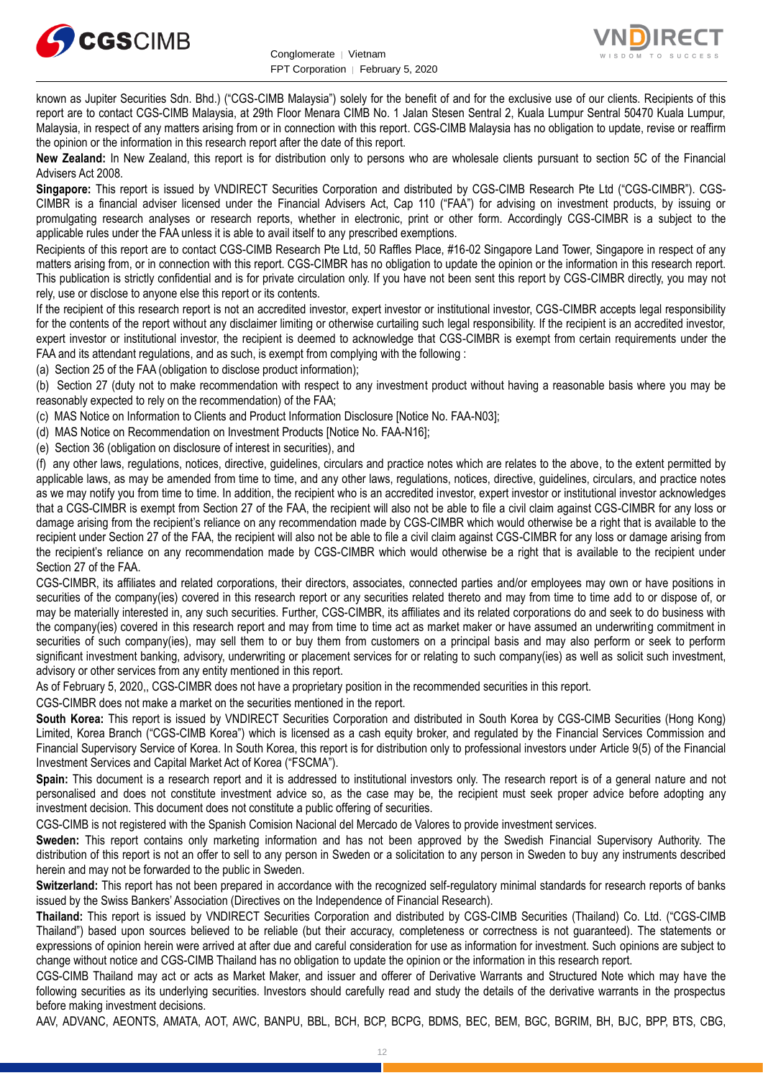



known as Jupiter Securities Sdn. Bhd.) ("CGS-CIMB Malaysia") solely for the benefit of and for the exclusive use of our clients. Recipients of this report are to contact CGS-CIMB Malaysia, at 29th Floor Menara CIMB No. 1 Jalan Stesen Sentral 2, Kuala Lumpur Sentral 50470 Kuala Lumpur, Malaysia, in respect of any matters arising from or in connection with this report. CGS-CIMB Malaysia has no obligation to update, revise or reaffirm the opinion or the information in this research report after the date of this report.

**New Zealand:** In New Zealand, this report is for distribution only to persons who are wholesale clients pursuant to section 5C of the Financial Advisers Act 2008.

**Singapore:** This report is issued by VNDIRECT Securities Corporation and distributed by CGS-CIMB Research Pte Ltd ("CGS-CIMBR"). CGS-CIMBR is a financial adviser licensed under the Financial Advisers Act, Cap 110 ("FAA") for advising on investment products, by issuing or promulgating research analyses or research reports, whether in electronic, print or other form. Accordingly CGS-CIMBR is a subject to the applicable rules under the FAA unless it is able to avail itself to any prescribed exemptions.

Recipients of this report are to contact CGS-CIMB Research Pte Ltd, 50 Raffles Place, #16-02 Singapore Land Tower, Singapore in respect of any matters arising from, or in connection with this report. CGS-CIMBR has no obligation to update the opinion or the information in this research report. This publication is strictly confidential and is for private circulation only. If you have not been sent this report by CGS-CIMBR directly, you may not rely, use or disclose to anyone else this report or its contents.

If the recipient of this research report is not an accredited investor, expert investor or institutional investor, CGS-CIMBR accepts legal responsibility for the contents of the report without any disclaimer limiting or otherwise curtailing such legal responsibility. If the recipient is an accredited investor, expert investor or institutional investor, the recipient is deemed to acknowledge that CGS-CIMBR is exempt from certain requirements under the FAA and its attendant regulations, and as such, is exempt from complying with the following :

(a) Section 25 of the FAA (obligation to disclose product information);

(b) Section 27 (duty not to make recommendation with respect to any investment product without having a reasonable basis where you may be reasonably expected to rely on the recommendation) of the FAA;

(c) MAS Notice on Information to Clients and Product Information Disclosure [Notice No. FAA-N03];

(d) MAS Notice on Recommendation on Investment Products [Notice No. FAA-N16];

(e) Section 36 (obligation on disclosure of interest in securities), and

(f) any other laws, regulations, notices, directive, guidelines, circulars and practice notes which are relates to the above, to the extent permitted by applicable laws, as may be amended from time to time, and any other laws, regulations, notices, directive, guidelines, circulars, and practice notes as we may notify you from time to time. In addition, the recipient who is an accredited investor, expert investor or institutional investor acknowledges that a CGS-CIMBR is exempt from Section 27 of the FAA, the recipient will also not be able to file a civil claim against CGS-CIMBR for any loss or damage arising from the recipient's reliance on any recommendation made by CGS-CIMBR which would otherwise be a right that is available to the recipient under Section 27 of the FAA, the recipient will also not be able to file a civil claim against CGS-CIMBR for any loss or damage arising from the recipient's reliance on any recommendation made by CGS-CIMBR which would otherwise be a right that is available to the recipient under Section 27 of the FAA.

CGS-CIMBR, its affiliates and related corporations, their directors, associates, connected parties and/or employees may own or have positions in securities of the company(ies) covered in this research report or any securities related thereto and may from time to time add to or dispose of, or may be materially interested in, any such securities. Further, CGS-CIMBR, its affiliates and its related corporations do and seek to do business with the company(ies) covered in this research report and may from time to time act as market maker or have assumed an underwriting commitment in securities of such company(ies), may sell them to or buy them from customers on a principal basis and may also perform or seek to perform significant investment banking, advisory, underwriting or placement services for or relating to such company(ies) as well as solicit such investment, advisory or other services from any entity mentioned in this report.

As of February 5, 2020,, CGS-CIMBR does not have a proprietary position in the recommended securities in this report.

CGS-CIMBR does not make a market on the securities mentioned in the report.

**South Korea:** This report is issued by VNDIRECT Securities Corporation and distributed in South Korea by CGS-CIMB Securities (Hong Kong) Limited, Korea Branch ("CGS-CIMB Korea") which is licensed as a cash equity broker, and regulated by the Financial Services Commission and Financial Supervisory Service of Korea. In South Korea, this report is for distribution only to professional investors under Article 9(5) of the Financial Investment Services and Capital Market Act of Korea ("FSCMA").

**Spain:** This document is a research report and it is addressed to institutional investors only. The research report is of a general nature and not personalised and does not constitute investment advice so, as the case may be, the recipient must seek proper advice before adopting any investment decision. This document does not constitute a public offering of securities.

CGS-CIMB is not registered with the Spanish Comision Nacional del Mercado de Valores to provide investment services.

**Sweden:** This report contains only marketing information and has not been approved by the Swedish Financial Supervisory Authority. The distribution of this report is not an offer to sell to any person in Sweden or a solicitation to any person in Sweden to buy any instruments described herein and may not be forwarded to the public in Sweden.

**Switzerland:** This report has not been prepared in accordance with the recognized self-regulatory minimal standards for research reports of banks issued by the Swiss Bankers' Association (Directives on the Independence of Financial Research).

**Thailand:** This report is issued by VNDIRECT Securities Corporation and distributed by CGS-CIMB Securities (Thailand) Co. Ltd. ("CGS-CIMB Thailand") based upon sources believed to be reliable (but their accuracy, completeness or correctness is not guaranteed). The statements or expressions of opinion herein were arrived at after due and careful consideration for use as information for investment. Such opinions are subject to change without notice and CGS-CIMB Thailand has no obligation to update the opinion or the information in this research report.

CGS-CIMB Thailand may act or acts as Market Maker, and issuer and offerer of Derivative Warrants and Structured Note which may have the following securities as its underlying securities. Investors should carefully read and study the details of the derivative warrants in the prospectus before making investment decisions.

AAV, ADVANC, AEONTS, AMATA, AOT, AWC, BANPU, BBL, BCH, BCP, BCPG, BDMS, BEC, BEM, BGC, BGRIM, BH, BJC, BPP, BTS, CBG,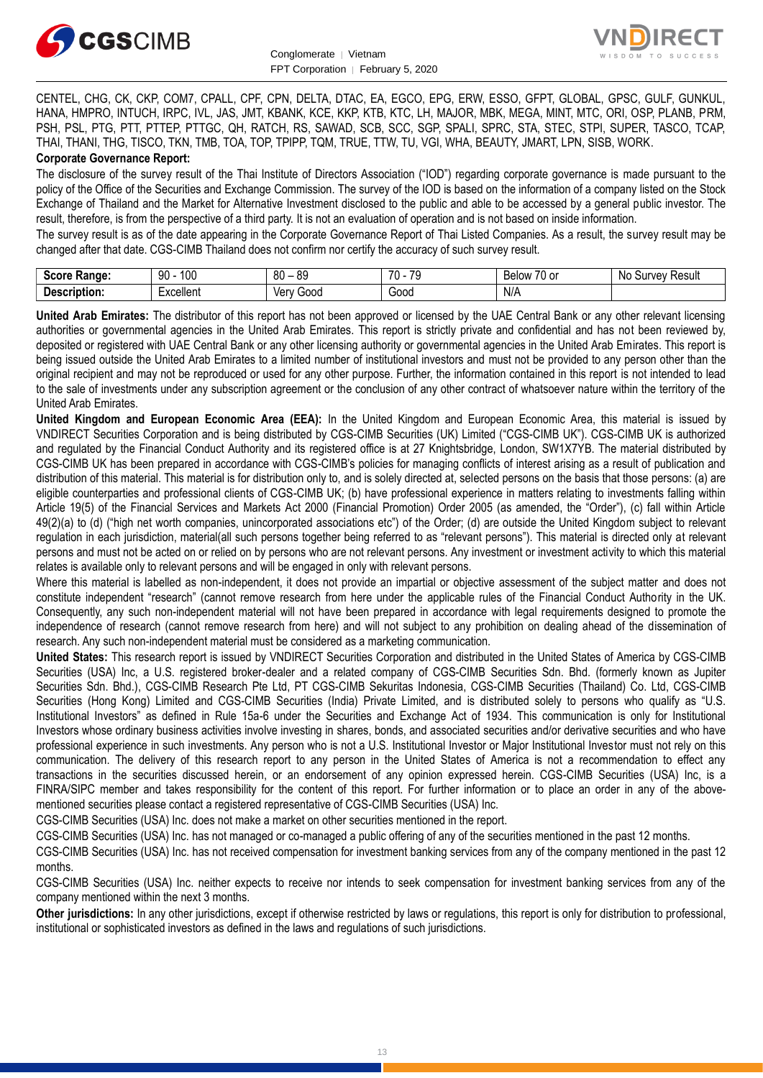



CENTEL, CHG, CK, CKP, COM7, CPALL, CPF, CPN, DELTA, DTAC, EA, EGCO, EPG, ERW, ESSO, GFPT, GLOBAL, GPSC, GULF, GUNKUL, HANA, HMPRO, INTUCH, IRPC, IVL, JAS, JMT, KBANK, KCE, KKP, KTB, KTC, LH, MAJOR, MBK, MEGA, MINT, MTC, ORI, OSP, PLANB, PRM, PSH, PSL, PTG, PTT, PTTEP, PTTGC, QH, RATCH, RS, SAWAD, SCB, SCC, SGP, SPALI, SPRC, STA, STEC, STPI, SUPER, TASCO, TCAP, THAI, THANI, THG, TISCO, TKN, TMB, TOA, TOP, TPIPP, TQM, TRUE, TTW, TU, VGI, WHA, BEAUTY, JMART, LPN, SISB, WORK.

#### **Corporate Governance Report:**

The disclosure of the survey result of the Thai Institute of Directors Association ("IOD") regarding corporate governance is made pursuant to the policy of the Office of the Securities and Exchange Commission. The survey of the IOD is based on the information of a company listed on the Stock Exchange of Thailand and the Market for Alternative Investment disclosed to the public and able to be accessed by a general public investor. The result, therefore, is from the perspective of a third party. It is not an evaluation of operation and is not based on inside information.

The survey result is as of the date appearing in the Corporate Governance Report of Thai Listed Companies. As a result, the survey result may be changed after that date. CGS-CIMB Thailand does not confirm nor certify the accuracy of such survey result.

| Score.<br>Range:               | 100<br>۵O<br>ັບ | $^{\circ}$<br>ЯC<br>vu<br>vũ | $\overline{\phantom{a}}$<br>$\overline{\phantom{a}}$<br>.,<br>. . | $\overline{\phantom{a}}$<br>$\sim$<br><b>Below</b><br>U<br>וש | .No<br>: Result<br>urvev |
|--------------------------------|-----------------|------------------------------|-------------------------------------------------------------------|---------------------------------------------------------------|--------------------------|
| <b>Description</b><br>ription. | xcellent        | verv<br>000ن                 | 200 <sup>o</sup><br>ouuu                                          | N/A                                                           |                          |

**United Arab Emirates:** The distributor of this report has not been approved or licensed by the UAE Central Bank or any other relevant licensing authorities or governmental agencies in the United Arab Emirates. This report is strictly private and confidential and has not been reviewed by, deposited or registered with UAE Central Bank or any other licensing authority or governmental agencies in the United Arab Emirates. This report is being issued outside the United Arab Emirates to a limited number of institutional investors and must not be provided to any person other than the original recipient and may not be reproduced or used for any other purpose. Further, the information contained in this report is not intended to lead to the sale of investments under any subscription agreement or the conclusion of any other contract of whatsoever nature within the territory of the United Arab Emirates.

**United Kingdom and European Economic Area (EEA):** In the United Kingdom and European Economic Area, this material is issued by VNDIRECT Securities Corporation and is being distributed by CGS-CIMB Securities (UK) Limited ("CGS-CIMB UK"). CGS-CIMB UK is authorized and regulated by the Financial Conduct Authority and its registered office is at 27 Knightsbridge, London, SW1X7YB. The material distributed by CGS-CIMB UK has been prepared in accordance with CGS-CIMB's policies for managing conflicts of interest arising as a result of publication and distribution of this material. This material is for distribution only to, and is solely directed at, selected persons on the basis that those persons: (a) are eligible counterparties and professional clients of CGS-CIMB UK; (b) have professional experience in matters relating to investments falling within Article 19(5) of the Financial Services and Markets Act 2000 (Financial Promotion) Order 2005 (as amended, the "Order"), (c) fall within Article 49(2)(a) to (d) ("high net worth companies, unincorporated associations etc") of the Order; (d) are outside the United Kingdom subject to relevant regulation in each jurisdiction, material(all such persons together being referred to as "relevant persons"). This material is directed only at relevant persons and must not be acted on or relied on by persons who are not relevant persons. Any investment or investment activity to which this material relates is available only to relevant persons and will be engaged in only with relevant persons.

Where this material is labelled as non-independent, it does not provide an impartial or objective assessment of the subject matter and does not constitute independent "research" (cannot remove research from here under the applicable rules of the Financial Conduct Authority in the UK. Consequently, any such non-independent material will not have been prepared in accordance with legal requirements designed to promote the independence of research (cannot remove research from here) and will not subject to any prohibition on dealing ahead of the dissemination of research. Any such non-independent material must be considered as a marketing communication.

**United States:** This research report is issued by VNDIRECT Securities Corporation and distributed in the United States of America by CGS-CIMB Securities (USA) Inc, a U.S. registered broker-dealer and a related company of CGS-CIMB Securities Sdn. Bhd. (formerly known as Jupiter Securities Sdn. Bhd.), CGS-CIMB Research Pte Ltd, PT CGS-CIMB Sekuritas Indonesia, CGS-CIMB Securities (Thailand) Co. Ltd, CGS-CIMB Securities (Hong Kong) Limited and CGS-CIMB Securities (India) Private Limited, and is distributed solely to persons who qualify as "U.S. Institutional Investors" as defined in Rule 15a-6 under the Securities and Exchange Act of 1934. This communication is only for Institutional Investors whose ordinary business activities involve investing in shares, bonds, and associated securities and/or derivative securities and who have professional experience in such investments. Any person who is not a U.S. Institutional Investor or Major Institutional Investor must not rely on this communication. The delivery of this research report to any person in the United States of America is not a recommendation to effect any transactions in the securities discussed herein, or an endorsement of any opinion expressed herein. CGS-CIMB Securities (USA) Inc, is a FINRA/SIPC member and takes responsibility for the content of this report. For further information or to place an order in any of the abovementioned securities please contact a registered representative of CGS-CIMB Securities (USA) Inc.

CGS-CIMB Securities (USA) Inc. does not make a market on other securities mentioned in the report.

CGS-CIMB Securities (USA) Inc. has not managed or co-managed a public offering of any of the securities mentioned in the past 12 months.

CGS-CIMB Securities (USA) Inc. has not received compensation for investment banking services from any of the company mentioned in the past 12 months.

CGS-CIMB Securities (USA) Inc. neither expects to receive nor intends to seek compensation for investment banking services from any of the company mentioned within the next 3 months.

**Other jurisdictions:** In any other jurisdictions, except if otherwise restricted by laws or regulations, this report is only for distribution to professional, institutional or sophisticated investors as defined in the laws and regulations of such jurisdictions.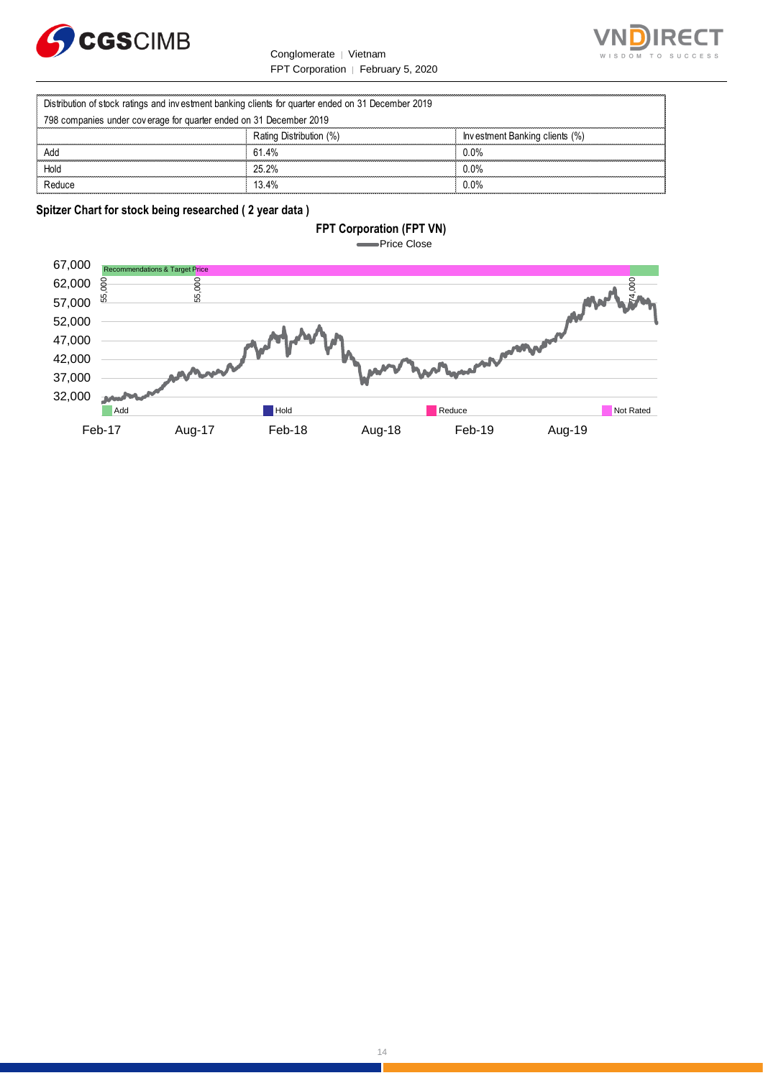



|                                                                    | Conglomerate   Vietnam                                                                             | WISDOM TO                      |  |  |  |
|--------------------------------------------------------------------|----------------------------------------------------------------------------------------------------|--------------------------------|--|--|--|
|                                                                    | FPT Corporation   February 5, 2020                                                                 |                                |  |  |  |
|                                                                    |                                                                                                    |                                |  |  |  |
|                                                                    | Distribution of stock ratings and investment banking clients for quarter ended on 31 December 2019 |                                |  |  |  |
| 798 companies under coverage for quarter ended on 31 December 2019 |                                                                                                    |                                |  |  |  |
|                                                                    | Rating Distribution (%)                                                                            | Investment Banking clients (%) |  |  |  |
| hhA                                                                | 61.4%                                                                                              | $0.0\%$                        |  |  |  |
| Hold                                                               | 25.2%                                                                                              | $0.0\%$                        |  |  |  |
| Reduce                                                             | 13.4%                                                                                              | $0.0\%$                        |  |  |  |

### **Spitzer Chart for stock being researched ( 2 year data )**

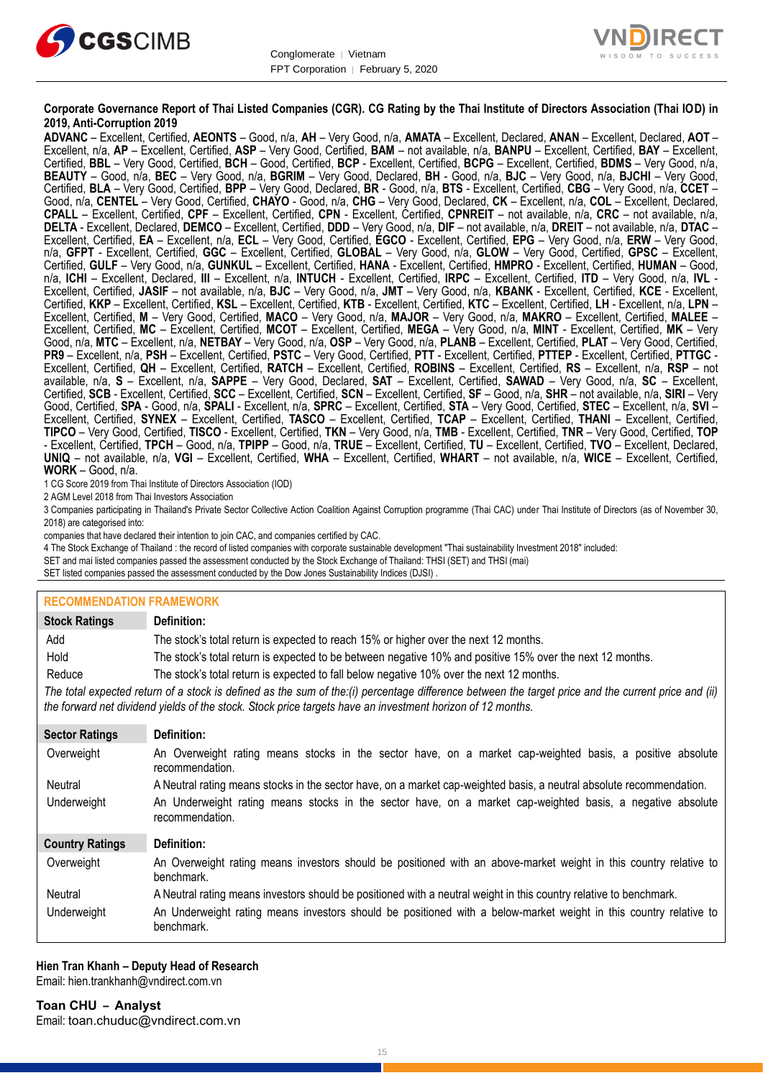



#### **Corporate Governance Report of Thai Listed Companies (CGR). CG Rating by the Thai Institute of Directors Association (Thai IOD) in 2019, Anti-Corruption 2019**

**ADVANC** – Excellent, Certified, **AEONTS** – Good, n/a, **AH** – Very Good, n/a, **AMATA** – Excellent, Declared, **ANAN** – Excellent, Declared, **AOT** – Excellent, n/a, **AP** – Excellent, Certified, **ASP** – Very Good, Certified, **BAM** – not available, n/a, **BANPU** – Excellent, Certified, **BAY** – Excellent, Certified, **BBL** – Very Good, Certified, **BCH** – Good, Certified, **BCP** - Excellent, Certified, **BCPG** – Excellent, Certified, **BDMS** – Very Good, n/a, **BEAUTY** – Good, n/a, **BEC** – Very Good, n/a, **BGRIM** – Very Good, Declared, **BH** - Good, n/a, **BJC** – Very Good, n/a, **BJCHI** – Very Good, Certified, **BLA** – Very Good, Certified, **BPP** – Very Good, Declared, **BR** - Good, n/a, **BTS** - Excellent, Certified, **CBG** – Very Good, n/a, **CCET** – Good, n/a, **CENTEL** – Very Good, Certified, **CHAYO** - Good, n/a, **CHG** – Very Good, Declared, **CK** – Excellent, n/a, **COL** – Excellent, Declared, **CPALL** – Excellent, Certified, **CPF** – Excellent, Certified, **CPN** - Excellent, Certified, **CPNREIT** – not available, n/a, **CRC** – not available, n/a, **DELTA** - Excellent, Declared, **DEMCO** – Excellent, Certified, **DDD** – Very Good, n/a, **DIF** – not available, n/a, **DREIT** – not available, n/a, **DTAC** – Excellent, Certified, **EA** – Excellent, n/a, **ECL** – Very Good, Certified, **EGCO** - Excellent, Certified, **EPG** – Very Good, n/a, **ERW** – Very Good, n/a, **GFPT** - Excellent, Certified, **GGC** – Excellent, Certified, **GLOBAL** – Very Good, n/a, **GLOW** – Very Good, Certified, **GPSC** – Excellent, Certified, **GULF** – Very Good, n/a, **GUNKUL** – Excellent, Certified, **HANA** - Excellent, Certified, **HMPRO** - Excellent, Certified, **HUMAN** – Good, n/a, **ICHI** – Excellent, Declared, **III** – Excellent, n/a, **INTUCH** - Excellent, Certified, **IRPC** – Excellent, Certified, **ITD** – Very Good, n/a, **IVL** - Excellent, Certified, **JASIF** – not available, n/a, **BJC** – Very Good, n/a, **JMT** – Very Good, n/a, **KBANK** - Excellent, Certified, **KCE** - Excellent, Certified, **KKP** – Excellent, Certified, **KSL** – Excellent, Certified, **KTB** - Excellent, Certified, **KTC** – Excellent, Certified, **LH** - Excellent, n/a, **LPN** – Excellent, Certified, **M** – Very Good, Certified, **MACO** – Very Good, n/a, **MAJOR** – Very Good, n/a, **MAKRO** – Excellent, Certified, **MALEE** – Excellent, Certified, **MC** – Excellent, Certified, **MCOT** – Excellent, Certified, **MEGA** – Very Good, n/a, **MINT** - Excellent, Certified, **MK** – Very Good, n/a, **MTC** – Excellent, n/a, **NETBAY** – Very Good, n/a, **OSP** – Very Good, n/a, **PLANB** – Excellent, Certified, **PLAT** – Very Good, Certified, **PR9** – Excellent, n/a, **PSH** – Excellent, Certified, **PSTC** – Very Good, Certified, **PTT** - Excellent, Certified, **PTTEP** - Excellent, Certified, **PTTGC** - Excellent, Certified, **QH** – Excellent, Certified, **RATCH** – Excellent, Certified, **ROBINS** – Excellent, Certified, **RS** – Excellent, n/a, **RSP** – not available, n/a, **S** – Excellent, n/a, **SAPPE** – Very Good, Declared, **SAT** – Excellent, Certified, **SAWAD** – Very Good, n/a, **SC** – Excellent, Certified, **SCB** - Excellent, Certified, **SCC** – Excellent, Certified, **SCN** – Excellent, Certified, **SF** – Good, n/a, **SHR** – not available, n/a, **SIRI** – Very Good, Certified, **SPA** - Good, n/a, **SPALI** - Excellent, n/a, **SPRC** – Excellent, Certified, **STA** – Very Good, Certified, **STEC** – Excellent, n/a, **SVI** – Excellent, Certified, **SYNEX** – Excellent, Certified, **TASCO** – Excellent, Certified, **TCAP** – Excellent, Certified, **THANI** – Excellent, Certified, **TIPCO** – Very Good, Certified, **TISCO** - Excellent, Certified, **TKN** – Very Good, n/a, **TMB** - Excellent, Certified, **TNR** – Very Good, Certified, **TOP** - Excellent, Certified, **TPCH** – Good, n/a, **TPIPP** – Good, n/a, **TRUE** – Excellent, Certified, **TU** – Excellent, Certified, **TVO** – Excellent, Declared, **UNIQ** – not available, n/a, **VGI** – Excellent, Certified, **WHA** – Excellent, Certified, **WHART** – not available, n/a, **WICE** – Excellent, Certified, **WORK** – Good, n/a.

1 CG Score 2019 from Thai Institute of Directors Association (IOD)

2 AGM Level 2018 from Thai Investors Association

3 Companies participating in Thailand's Private Sector Collective Action Coalition Against Corruption programme (Thai CAC) under Thai Institute of Directors (as of November 30, 2018) are categorised into:

companies that have declared their intention to join CAC, and companies certified by CAC.

4 [The Stock Exchange of Thailand : the record of listed companies with corporate sustainable development "Thai sustainability Investment 2018" included:](http://www.set.or.th/sustainable_dev/en/sr/sri/tsi_p1.html)

SET and mai listed companies passed the assessment conducted by the Stock Exchange of Thailand: THSI (SET) and THSI (mai)

SET listed companies passed the assessment conducted by the Dow Jones Sustainability Indices (DJSI)

#### **RECOMMENDATION FRAMEWORK**

| <b>Stock Ratings</b>                                                                                                                                                                                                                                              | Definition:                                                                                                                     |  |  |  |
|-------------------------------------------------------------------------------------------------------------------------------------------------------------------------------------------------------------------------------------------------------------------|---------------------------------------------------------------------------------------------------------------------------------|--|--|--|
| Add                                                                                                                                                                                                                                                               | The stock's total return is expected to reach 15% or higher over the next 12 months.                                            |  |  |  |
| Hold                                                                                                                                                                                                                                                              | The stock's total return is expected to be between negative 10% and positive 15% over the next 12 months.                       |  |  |  |
| Reduce                                                                                                                                                                                                                                                            | The stock's total return is expected to fall below negative 10% over the next 12 months.                                        |  |  |  |
| The total expected return of a stock is defined as the sum of the:(i) percentage difference between the target price and the current price and (ii)<br>the forward net dividend yields of the stock. Stock price targets have an investment horizon of 12 months. |                                                                                                                                 |  |  |  |
| <b>Sector Ratings</b>                                                                                                                                                                                                                                             | Definition:                                                                                                                     |  |  |  |
| Overweight                                                                                                                                                                                                                                                        | An Overweight rating means stocks in the sector have, on a market cap-weighted basis, a positive absolute<br>recommendation.    |  |  |  |
| Neutral                                                                                                                                                                                                                                                           | A Neutral rating means stocks in the sector have, on a market cap-weighted basis, a neutral absolute recommendation.            |  |  |  |
| Underweight                                                                                                                                                                                                                                                       | An Underweight rating means stocks in the sector have, on a market cap-weighted basis, a negative absolute<br>recommendation.   |  |  |  |
| <b>Country Ratings</b>                                                                                                                                                                                                                                            | Definition:                                                                                                                     |  |  |  |
| Overweight                                                                                                                                                                                                                                                        | An Overweight rating means investors should be positioned with an above-market weight in this country relative to<br>benchmark. |  |  |  |
| Neutral                                                                                                                                                                                                                                                           | A Neutral rating means investors should be positioned with a neutral weight in this country relative to benchmark.              |  |  |  |
| Underweight                                                                                                                                                                                                                                                       | An Underweight rating means investors should be positioned with a below-market weight in this country relative to<br>benchmark. |  |  |  |

#### **Hien Tran Khanh – Deputy Head of Research** Email: [hien.trankhanh@vndirect.com.vn](mailto:hien.trankhanh@vndirect.com.vn)

**Toan CHU – Analyst** Email: [toan.chuduc@vndirect.com.vn](mailto:toan.chuduc@vndirect.com.vn)